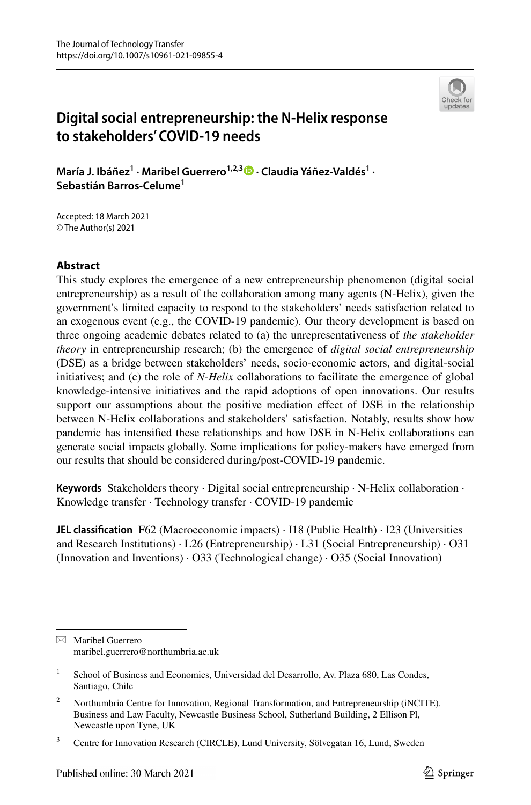

# **Digital social entrepreneurship: the N‑Helix response to stakeholders' COVID‑19 needs**

MaríaJ. Ibáñez<sup>1</sup> • Maribel Guerrero<sup>1,2,3</sup> D • Claudia Yáñez-Valdés<sup>1</sup> • **Sebastián Barros‑Celume1**

Accepted: 18 March 2021 © The Author(s) 2021

# **Abstract**

This study explores the emergence of a new entrepreneurship phenomenon (digital social entrepreneurship) as a result of the collaboration among many agents (N-Helix), given the government's limited capacity to respond to the stakeholders' needs satisfaction related to an exogenous event (e.g., the COVID-19 pandemic). Our theory development is based on three ongoing academic debates related to (a) the unrepresentativeness of *the stakeholder theory* in entrepreneurship research; (b) the emergence of *digital social entrepreneurship* (DSE) as a bridge between stakeholders' needs, socio-economic actors, and digital-social initiatives; and (c) the role of *N-Helix* collaborations to facilitate the emergence of global knowledge-intensive initiatives and the rapid adoptions of open innovations. Our results support our assumptions about the positive mediation effect of DSE in the relationship between N-Helix collaborations and stakeholders' satisfaction. Notably, results show how pandemic has intensifed these relationships and how DSE in N-Helix collaborations can generate social impacts globally. Some implications for policy-makers have emerged from our results that should be considered during/post-COVID-19 pandemic.

**Keywords** Stakeholders theory · Digital social entrepreneurship · N-Helix collaboration · Knowledge transfer · Technology transfer · COVID-19 pandemic

**JEL classification** F62 (Macroeconomic impacts) · I18 (Public Health) · I23 (Universities and Research Institutions) · L26 (Entrepreneurship) · L31 (Social Entrepreneurship) · O31 (Innovation and Inventions) · O33 (Technological change) · O35 (Social Innovation)

 $\boxtimes$  Maribel Guerrero maribel.guerrero@northumbria.ac.uk

<sup>&</sup>lt;sup>1</sup> School of Business and Economics, Universidad del Desarrollo, Av. Plaza 680, Las Condes, Santiago, Chile

<sup>&</sup>lt;sup>2</sup> Northumbria Centre for Innovation, Regional Transformation, and Entrepreneurship (iNCITE). Business and Law Faculty, Newcastle Business School, Sutherland Building, 2 Ellison Pl, Newcastle upon Tyne, UK

<sup>&</sup>lt;sup>3</sup> Centre for Innovation Research (CIRCLE), Lund University, Sölvegatan 16, Lund, Sweden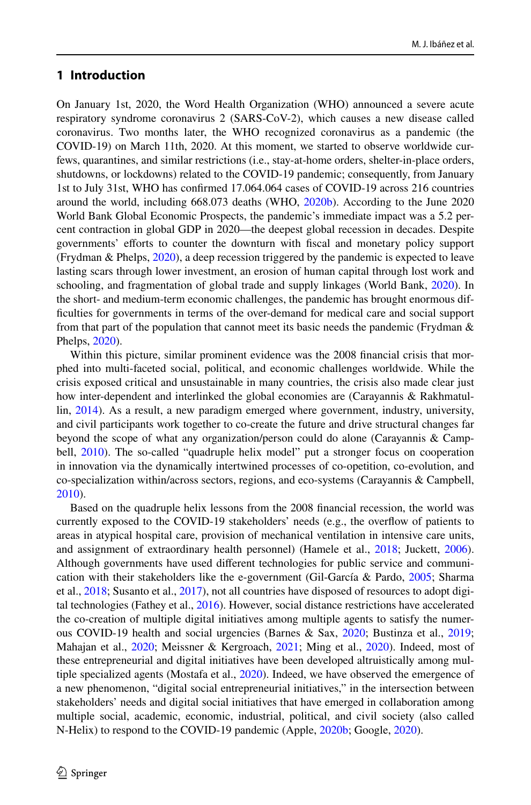# **1 Introduction**

On January 1st, 2020, the Word Health Organization (WHO) announced a severe acute respiratory syndrome coronavirus 2 (SARS-CoV-2), which causes a new disease called coronavirus. Two months later, the WHO recognized coronavirus as a pandemic (the COVID-19) on March 11th, 2020. At this moment, we started to observe worldwide curfews, quarantines, and similar restrictions (i.e., stay-at-home orders, shelter-in-place orders, shutdowns, or lockdowns) related to the COVID-19 pandemic; consequently, from January 1st to July 31st, WHO has confrmed 17.064.064 cases of COVID-19 across 216 countries around the world, including 668.073 deaths (WHO, [2020b](#page-23-0)). According to the June 2020 World Bank Global Economic Prospects, the pandemic's immediate impact was a 5.2 percent contraction in global GDP in 2020—the deepest global recession in decades. Despite governments' eforts to counter the downturn with fscal and monetary policy support (Frydman & Phelps, [2020](#page-20-0)), a deep recession triggered by the pandemic is expected to leave lasting scars through lower investment, an erosion of human capital through lost work and schooling, and fragmentation of global trade and supply linkages (World Bank, [2020](#page-23-1)). In the short- and medium-term economic challenges, the pandemic has brought enormous diffculties for governments in terms of the over-demand for medical care and social support from that part of the population that cannot meet its basic needs the pandemic (Frydman  $\&$ Phelps, [2020\)](#page-20-0).

Within this picture, similar prominent evidence was the 2008 fnancial crisis that morphed into multi-faceted social, political, and economic challenges worldwide. While the crisis exposed critical and unsustainable in many countries, the crisis also made clear just how inter-dependent and interlinked the global economies are (Carayannis & Rakhmatullin, [2014](#page-19-0)). As a result, a new paradigm emerged where government, industry, university, and civil participants work together to co-create the future and drive structural changes far beyond the scope of what any organization/person could do alone (Carayannis & Camp-bell, [2010](#page-19-1)). The so-called "quadruple helix model" put a stronger focus on cooperation in innovation via the dynamically intertwined processes of co-opetition, co-evolution, and co-specialization within/across sectors, regions, and eco-systems (Carayannis & Campbell, [2010\)](#page-19-1).

Based on the quadruple helix lessons from the 2008 fnancial recession, the world was currently exposed to the COVID-19 stakeholders' needs (e.g., the overfow of patients to areas in atypical hospital care, provision of mechanical ventilation in intensive care units, and assignment of extraordinary health personnel) (Hamele et al., [2018](#page-20-1); Juckett, [2006](#page-21-0)). Although governments have used diferent technologies for public service and communication with their stakeholders like the e-government (Gil-García & Pardo, [2005](#page-20-2); Sharma et al., [2018;](#page-22-0) Susanto et al., [2017\)](#page-23-2), not all countries have disposed of resources to adopt digital technologies (Fathey et al., [2016\)](#page-20-3). However, social distance restrictions have accelerated the co-creation of multiple digital initiatives among multiple agents to satisfy the numerous COVID-19 health and social urgencies (Barnes & Sax, [2020](#page-19-2); Bustinza et al., [2019;](#page-19-3) Mahajan et al., [2020;](#page-21-1) Meissner & Kergroach, [2021;](#page-22-1) Ming et al., [2020](#page-22-2)). Indeed, most of these entrepreneurial and digital initiatives have been developed altruistically among multiple specialized agents (Mostafa et al., [2020](#page-22-3)). Indeed, we have observed the emergence of a new phenomenon, "digital social entrepreneurial initiatives," in the intersection between stakeholders' needs and digital social initiatives that have emerged in collaboration among multiple social, academic, economic, industrial, political, and civil society (also called N-Helix) to respond to the COVID-19 pandemic (Apple, [2020b](#page-19-4); Google, [2020](#page-20-4)).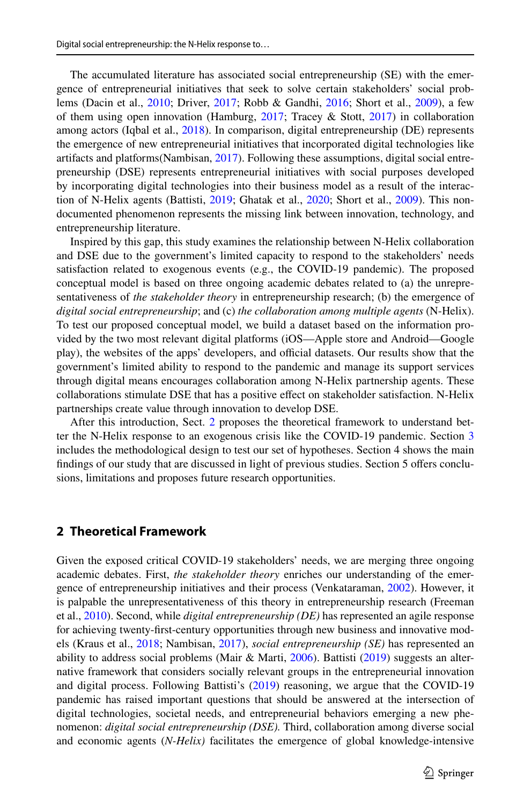The accumulated literature has associated social entrepreneurship (SE) with the emergence of entrepreneurial initiatives that seek to solve certain stakeholders' social problems (Dacin et al., [2010;](#page-19-5) Driver, [2017](#page-20-5); Robb & Gandhi, [2016;](#page-22-4) Short et al., [2009\)](#page-22-5), a few of them using open innovation (Hamburg,  $2017$ ; Tracey & Stott,  $2017$ ) in collaboration among actors (Iqbal et al., [2018\)](#page-21-2). In comparison, digital entrepreneurship (DE) represents the emergence of new entrepreneurial initiatives that incorporated digital technologies like artifacts and platforms(Nambisan, [2017](#page-22-6)). Following these assumptions, digital social entrepreneurship (DSE) represents entrepreneurial initiatives with social purposes developed by incorporating digital technologies into their business model as a result of the interac-tion of N-Helix agents (Battisti, [2019;](#page-19-6) Ghatak et al., [2020;](#page-20-7) Short et al., [2009](#page-22-5)). This nondocumented phenomenon represents the missing link between innovation, technology, and entrepreneurship literature.

Inspired by this gap, this study examines the relationship between N-Helix collaboration and DSE due to the government's limited capacity to respond to the stakeholders' needs satisfaction related to exogenous events (e.g., the COVID-19 pandemic). The proposed conceptual model is based on three ongoing academic debates related to (a) the unrepresentativeness of *the stakeholder theory* in entrepreneurship research; (b) the emergence of *digital social entrepreneurship*; and (c) *the collaboration among multiple agents* (N-Helix). To test our proposed conceptual model, we build a dataset based on the information provided by the two most relevant digital platforms (iOS—Apple store and Android—Google play), the websites of the apps' developers, and official datasets. Our results show that the government's limited ability to respond to the pandemic and manage its support services through digital means encourages collaboration among N-Helix partnership agents. These collaborations stimulate DSE that has a positive efect on stakeholder satisfaction. N-Helix partnerships create value through innovation to develop DSE.

After this introduction, Sect. [2](#page-2-0) proposes the theoretical framework to understand better the N-Helix response to an exogenous crisis like the COVID-19 pandemic. Section [3](#page-7-0) includes the methodological design to test our set of hypotheses. Section 4 shows the main findings of our study that are discussed in light of previous studies. Section 5 offers conclusions, limitations and proposes future research opportunities.

### <span id="page-2-0"></span>**2 Theoretical Framework**

Given the exposed critical COVID-19 stakeholders' needs, we are merging three ongoing academic debates. First, *the stakeholder theory* enriches our understanding of the emergence of entrepreneurship initiatives and their process (Venkataraman, [2002\)](#page-23-4). However, it is palpable the unrepresentativeness of this theory in entrepreneurship research (Freeman et al., [2010](#page-20-8)). Second, while *digital entrepreneurship (DE)* has represented an agile response for achieving twenty-frst-century opportunities through new business and innovative models (Kraus et al., [2018](#page-21-3); Nambisan, [2017](#page-22-6)), *social entrepreneurship (SE)* has represented an ability to address social problems (Mair & Marti, [2006](#page-21-4)). Battisti [\(2019](#page-19-6)) suggests an alternative framework that considers socially relevant groups in the entrepreneurial innovation and digital process. Following Battisti's [\(2019](#page-19-6)) reasoning, we argue that the COVID-19 pandemic has raised important questions that should be answered at the intersection of digital technologies, societal needs, and entrepreneurial behaviors emerging a new phenomenon: *digital social entrepreneurship (DSE).* Third, collaboration among diverse social and economic agents (*N-Helix)* facilitates the emergence of global knowledge-intensive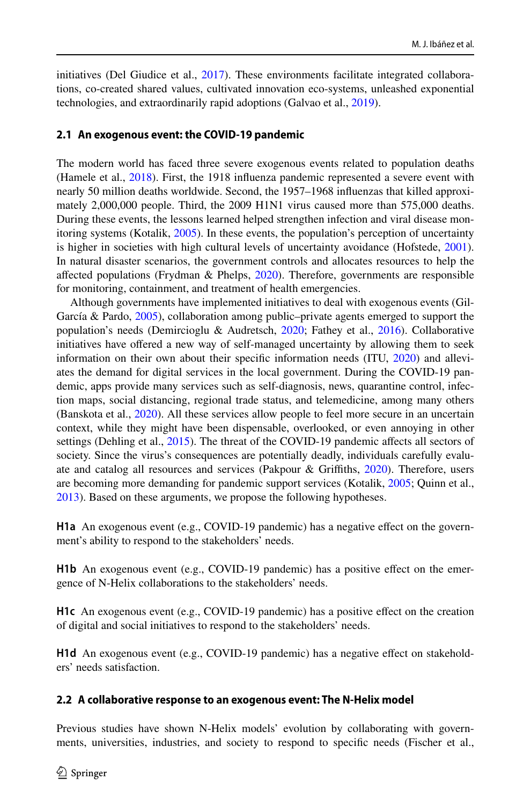initiatives (Del Giudice et al., [2017\)](#page-19-7). These environments facilitate integrated collaborations, co-created shared values, cultivated innovation eco-systems, unleashed exponential technologies, and extraordinarily rapid adoptions (Galvao et al., [2019\)](#page-20-9).

### **2.1 An exogenous event: the COVID‑19 pandemic**

The modern world has faced three severe exogenous events related to population deaths (Hamele et al., [2018\)](#page-20-1). First, the 1918 infuenza pandemic represented a severe event with nearly 50 million deaths worldwide. Second, the 1957–1968 infuenzas that killed approximately 2,000,000 people. Third, the 2009 H1N1 virus caused more than 575,000 deaths. During these events, the lessons learned helped strengthen infection and viral disease monitoring systems (Kotalik, [2005\)](#page-21-5). In these events, the population's perception of uncertainty is higher in societies with high cultural levels of uncertainty avoidance (Hofstede, [2001](#page-21-6)). In natural disaster scenarios, the government controls and allocates resources to help the afected populations (Frydman & Phelps, [2020](#page-20-0)). Therefore, governments are responsible for monitoring, containment, and treatment of health emergencies.

Although governments have implemented initiatives to deal with exogenous events (Gil-García & Pardo, [2005\)](#page-20-2), collaboration among public–private agents emerged to support the population's needs (Demircioglu & Audretsch, [2020;](#page-20-10) Fathey et al., [2016\)](#page-20-3). Collaborative initiatives have ofered a new way of self-managed uncertainty by allowing them to seek information on their own about their specifc information needs (ITU, [2020](#page-21-7)) and alleviates the demand for digital services in the local government. During the COVID-19 pandemic, apps provide many services such as self-diagnosis, news, quarantine control, infection maps, social distancing, regional trade status, and telemedicine, among many others (Banskota et al., [2020](#page-19-8)). All these services allow people to feel more secure in an uncertain context, while they might have been dispensable, overlooked, or even annoying in other settings (Dehling et al., [2015](#page-19-9)). The threat of the COVID-19 pandemic affects all sectors of society. Since the virus's consequences are potentially deadly, individuals carefully evaluate and catalog all resources and services (Pakpour & Grifths, [2020\)](#page-22-7). Therefore, users are becoming more demanding for pandemic support services (Kotalik, [2005](#page-21-5); Quinn et al., [2013\)](#page-22-8). Based on these arguments, we propose the following hypotheses.

**H1a** An exogenous event (e.g., COVID-19 pandemic) has a negative efect on the government's ability to respond to the stakeholders' needs.

**H1b** An exogenous event (e.g., COVID-19 pandemic) has a positive efect on the emergence of N-Helix collaborations to the stakeholders' needs.

**H1c** An exogenous event (e.g., COVID-19 pandemic) has a positive efect on the creation of digital and social initiatives to respond to the stakeholders' needs.

**H1d** An exogenous event (e.g., COVID-19 pandemic) has a negative effect on stakeholders' needs satisfaction.

### **2.2 A collaborative response to an exogenous event: The N‑Helix model**

Previous studies have shown N-Helix models' evolution by collaborating with governments, universities, industries, and society to respond to specifc needs (Fischer et al.,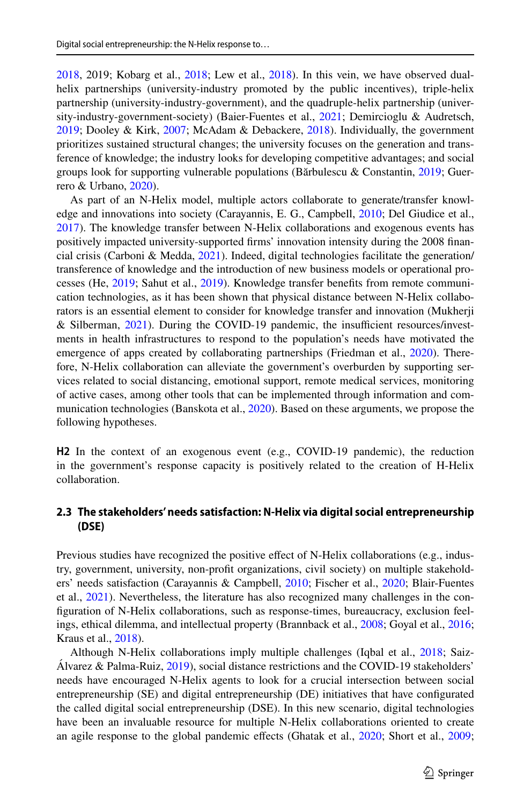[2018,](#page-20-11) 2019; Kobarg et al., [2018;](#page-21-8) Lew et al., [2018\)](#page-21-9). In this vein, we have observed dualhelix partnerships (university-industry promoted by the public incentives), triple-helix partnership (university-industry-government), and the quadruple-helix partnership (university-industry-government-society) (Baier-Fuentes et al., [2021](#page-19-10); Demircioglu & Audretsch, [2019;](#page-20-12) Dooley & Kirk, [2007](#page-20-13); McAdam & Debackere, [2018](#page-22-9)). Individually, the government prioritizes sustained structural changes; the university focuses on the generation and transference of knowledge; the industry looks for developing competitive advantages; and social groups look for supporting vulnerable populations (Bărbulescu & Constantin, [2019](#page-19-11); Guerrero & Urbano, [2020](#page-20-14)).

As part of an N-Helix model, multiple actors collaborate to generate/transfer knowledge and innovations into society (Carayannis, E. G., Campbell, [2010](#page-19-1); Del Giudice et al., [2017\)](#page-19-7). The knowledge transfer between N-Helix collaborations and exogenous events has positively impacted university-supported frms' innovation intensity during the 2008 fnancial crisis (Carboni & Medda, [2021](#page-19-12)). Indeed, digital technologies facilitate the generation/ transference of knowledge and the introduction of new business models or operational processes (He, [2019;](#page-21-10) Sahut et al., [2019\)](#page-22-10). Knowledge transfer benefts from remote communication technologies, as it has been shown that physical distance between N-Helix collaborators is an essential element to consider for knowledge transfer and innovation (Mukherji & Silberman, [2021](#page-22-11)). During the COVID-19 pandemic, the insufficient resources/investments in health infrastructures to respond to the population's needs have motivated the emergence of apps created by collaborating partnerships (Friedman et al., [2020](#page-20-15)). Therefore, N-Helix collaboration can alleviate the government's overburden by supporting services related to social distancing, emotional support, remote medical services, monitoring of active cases, among other tools that can be implemented through information and communication technologies (Banskota et al., [2020](#page-19-8)). Based on these arguments, we propose the following hypotheses.

**H2** In the context of an exogenous event (e.g., COVID-19 pandemic), the reduction in the government's response capacity is positively related to the creation of H-Helix collaboration.

### **2.3 The stakeholders' needs satisfaction: N‑Helix via digital social entrepreneurship (DSE)**

Previous studies have recognized the positive efect of N-Helix collaborations (e.g., industry, government, university, non-proft organizations, civil society) on multiple stakeholders' needs satisfaction (Carayannis & Campbell, [2010](#page-19-1); Fischer et al., [2020](#page-20-16); Blair-Fuentes et al., [2021](#page-19-10)). Nevertheless, the literature has also recognized many challenges in the confguration of N-Helix collaborations, such as response-times, bureaucracy, exclusion feelings, ethical dilemma, and intellectual property (Brannback et al., [2008](#page-19-13); Goyal et al., [2016;](#page-20-17) Kraus et al., [2018\)](#page-21-3).

Although N-Helix collaborations imply multiple challenges (Iqbal et al., [2018;](#page-21-2) Saiz-Álvarez & Palma-Ruiz, [2019\)](#page-22-12), social distance restrictions and the COVID-19 stakeholders' needs have encouraged N-Helix agents to look for a crucial intersection between social entrepreneurship (SE) and digital entrepreneurship (DE) initiatives that have confgurated the called digital social entrepreneurship (DSE). In this new scenario, digital technologies have been an invaluable resource for multiple N-Helix collaborations oriented to create an agile response to the global pandemic efects (Ghatak et al., [2020](#page-20-7); Short et al., [2009;](#page-22-5)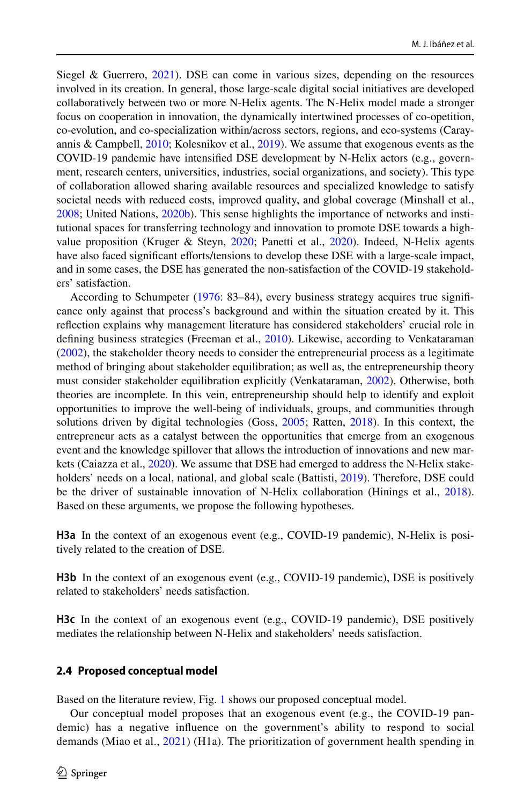Siegel & Guerrero, [2021\)](#page-23-5). DSE can come in various sizes, depending on the resources involved in its creation. In general, those large-scale digital social initiatives are developed collaboratively between two or more N-Helix agents. The N-Helix model made a stronger focus on cooperation in innovation, the dynamically intertwined processes of co-opetition, co-evolution, and co-specialization within/across sectors, regions, and eco-systems (Carayannis & Campbell, [2010;](#page-19-1) Kolesnikov et al., [2019](#page-21-11)). We assume that exogenous events as the COVID-19 pandemic have intensifed DSE development by N-Helix actors (e.g., government, research centers, universities, industries, social organizations, and society). This type of collaboration allowed sharing available resources and specialized knowledge to satisfy societal needs with reduced costs, improved quality, and global coverage (Minshall et al., [2008;](#page-22-13) United Nations, [2020b\)](#page-23-6). This sense highlights the importance of networks and institutional spaces for transferring technology and innovation to promote DSE towards a highvalue proposition (Kruger & Steyn, [2020](#page-21-12); Panetti et al., [2020\)](#page-22-14). Indeed, N-Helix agents have also faced signifcant eforts/tensions to develop these DSE with a large-scale impact, and in some cases, the DSE has generated the non-satisfaction of the COVID-19 stakeholders' satisfaction.

According to Schumpeter [\(1976](#page-22-15): 83–84), every business strategy acquires true signifcance only against that process's background and within the situation created by it. This refection explains why management literature has considered stakeholders' crucial role in defining business strategies (Freeman et al., [2010](#page-20-8)). Likewise, according to Venkataraman ([2002\)](#page-23-4), the stakeholder theory needs to consider the entrepreneurial process as a legitimate method of bringing about stakeholder equilibration; as well as, the entrepreneurship theory must consider stakeholder equilibration explicitly (Venkataraman, [2002](#page-23-4)). Otherwise, both theories are incomplete. In this vein, entrepreneurship should help to identify and exploit opportunities to improve the well-being of individuals, groups, and communities through solutions driven by digital technologies (Goss, [2005;](#page-20-18) Ratten, [2018\)](#page-22-16). In this context, the entrepreneur acts as a catalyst between the opportunities that emerge from an exogenous event and the knowledge spillover that allows the introduction of innovations and new markets (Caiazza et al., [2020\)](#page-19-14). We assume that DSE had emerged to address the N-Helix stakeholders' needs on a local, national, and global scale (Battisti, [2019\)](#page-19-6). Therefore, DSE could be the driver of sustainable innovation of N-Helix collaboration (Hinings et al., [2018](#page-21-13)). Based on these arguments, we propose the following hypotheses.

**H3a** In the context of an exogenous event (e.g., COVID-19 pandemic), N-Helix is positively related to the creation of DSE.

**H3b** In the context of an exogenous event (e.g., COVID-19 pandemic), DSE is positively related to stakeholders' needs satisfaction.

**H3c** In the context of an exogenous event (e.g., COVID-19 pandemic), DSE positively mediates the relationship between N-Helix and stakeholders' needs satisfaction.

### **2.4 Proposed conceptual model**

Based on the literature review, Fig. [1](#page-6-0) shows our proposed conceptual model.

Our conceptual model proposes that an exogenous event (e.g., the COVID-19 pandemic) has a negative infuence on the government's ability to respond to social demands (Miao et al., [2021](#page-22-17)) (H1a). The prioritization of government health spending in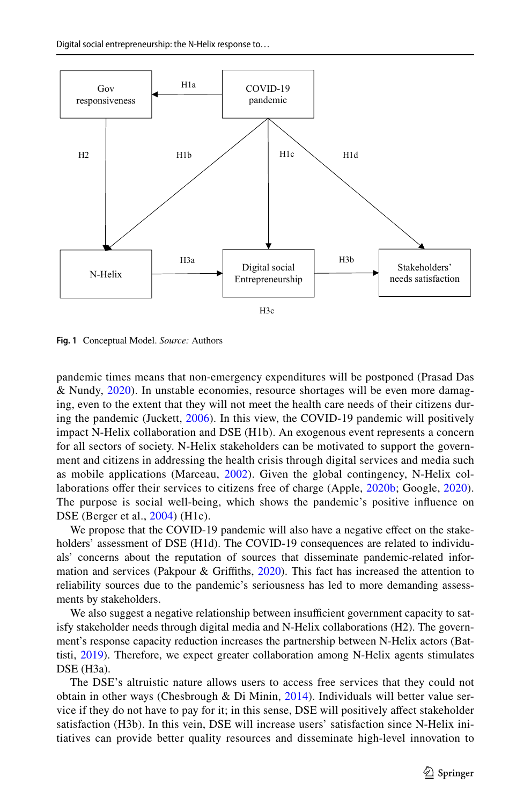

<span id="page-6-0"></span>**Fig. 1** Conceptual Model. *Source:* Authors

pandemic times means that non-emergency expenditures will be postponed (Prasad Das & Nundy, [2020](#page-22-18)). In unstable economies, resource shortages will be even more damaging, even to the extent that they will not meet the health care needs of their citizens during the pandemic (Juckett, [2006](#page-21-0)). In this view, the COVID-19 pandemic will positively impact N-Helix collaboration and DSE (H1b). An exogenous event represents a concern for all sectors of society. N-Helix stakeholders can be motivated to support the government and citizens in addressing the health crisis through digital services and media such as mobile applications (Marceau, [2002](#page-21-14)). Given the global contingency, N-Helix col-laborations offer their services to citizens free of charge (Apple, [2020b;](#page-19-4) Google, [2020\)](#page-20-4). The purpose is social well-being, which shows the pandemic's positive infuence on DSE (Berger et al., [2004\)](#page-19-15) (H1c).

We propose that the COVID-19 pandemic will also have a negative efect on the stakeholders' assessment of DSE (H1d). The COVID-19 consequences are related to individuals' concerns about the reputation of sources that disseminate pandemic-related information and services (Pakpour & Griffiths,  $2020$ ). This fact has increased the attention to reliability sources due to the pandemic's seriousness has led to more demanding assessments by stakeholders.

We also suggest a negative relationship between insufficient government capacity to satisfy stakeholder needs through digital media and N-Helix collaborations (H2). The government's response capacity reduction increases the partnership between N-Helix actors (Battisti, [2019\)](#page-19-6). Therefore, we expect greater collaboration among N-Helix agents stimulates DSE (H3a).

The DSE's altruistic nature allows users to access free services that they could not obtain in other ways (Chesbrough & Di Minin,  $2014$ ). Individuals will better value service if they do not have to pay for it; in this sense, DSE will positively afect stakeholder satisfaction (H3b). In this vein, DSE will increase users' satisfaction since N-Helix initiatives can provide better quality resources and disseminate high-level innovation to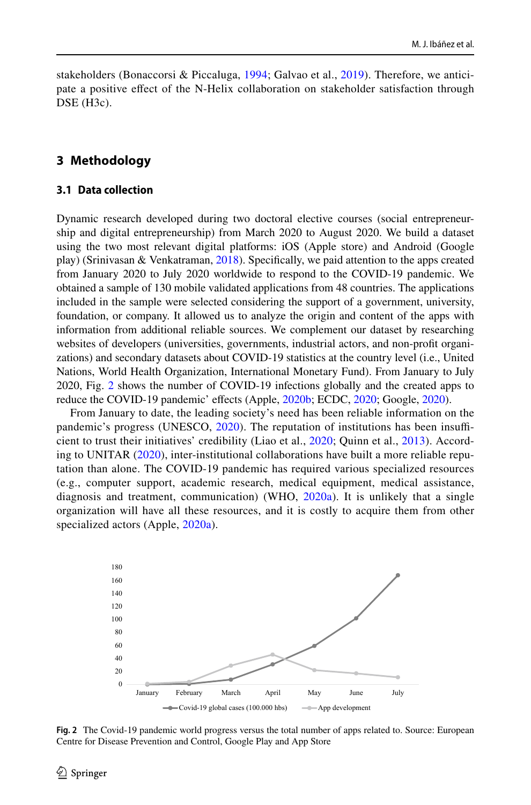stakeholders (Bonaccorsi & Piccaluga, [1994;](#page-19-17) Galvao et al., [2019\)](#page-20-9). Therefore, we anticipate a positive efect of the N-Helix collaboration on stakeholder satisfaction through DSE (H<sub>3c</sub>).

# **3 Methodology**

### <span id="page-7-0"></span>**3.1 Data collection**

Dynamic research developed during two doctoral elective courses (social entrepreneurship and digital entrepreneurship) from March 2020 to August 2020. We build a dataset using the two most relevant digital platforms: iOS (Apple store) and Android (Google play) (Srinivasan & Venkatraman, [2018\)](#page-23-7). Specifcally, we paid attention to the apps created from January 2020 to July 2020 worldwide to respond to the COVID-19 pandemic. We obtained a sample of 130 mobile validated applications from 48 countries. The applications included in the sample were selected considering the support of a government, university, foundation, or company. It allowed us to analyze the origin and content of the apps with information from additional reliable sources. We complement our dataset by researching websites of developers (universities, governments, industrial actors, and non-proft organizations) and secondary datasets about COVID-19 statistics at the country level (i.e., United Nations, World Health Organization, International Monetary Fund). From January to July 2020, Fig. [2](#page-7-1) shows the number of COVID-19 infections globally and the created apps to reduce the COVID-19 pandemic' effects (Apple, [2020b;](#page-19-4) ECDC, [2020;](#page-20-19) Google, [2020\)](#page-20-4).

From January to date, the leading society's need has been reliable information on the pandemic's progress (UNESCO,  $2020$ ). The reputation of institutions has been insufficient to trust their initiatives' credibility (Liao et al., [2020;](#page-21-15) Quinn et al., [2013](#page-22-8)). According to UNITAR ([2020](#page-23-9)), inter-institutional collaborations have built a more reliable reputation than alone. The COVID-19 pandemic has required various specialized resources (e.g., computer support, academic research, medical equipment, medical assistance, diagnosis and treatment, communication) (WHO,  $2020a$ ). It is unlikely that a single organization will have all these resources, and it is costly to acquire them from other specialized actors (Apple, [2020a](#page-19-18)).



<span id="page-7-1"></span>**Fig. 2** The Covid-19 pandemic world progress versus the total number of apps related to. Source: European Centre for Disease Prevention and Control, Google Play and App Store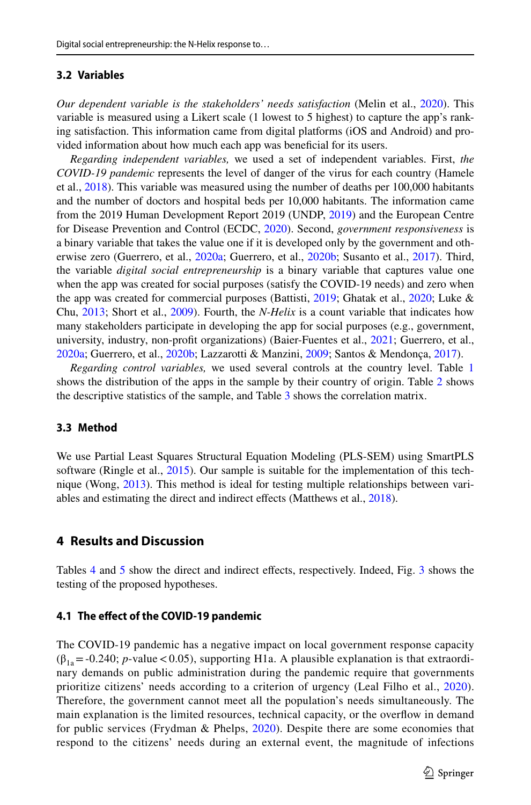### **3.2 Variables**

*Our dependent variable is the stakeholders' needs satisfaction* (Melin et al., [2020\)](#page-22-19). This variable is measured using a Likert scale (1 lowest to 5 highest) to capture the app's ranking satisfaction. This information came from digital platforms (iOS and Android) and provided information about how much each app was benefcial for its users.

*Regarding independent variables,* we used a set of independent variables. First, *the COVID-19 pandemic* represents the level of danger of the virus for each country (Hamele et al., [2018\)](#page-20-1). This variable was measured using the number of deaths per 100,000 habitants and the number of doctors and hospital beds per 10,000 habitants. The information came from the 2019 Human Development Report 2019 (UNDP, [2019](#page-23-11)) and the European Centre for Disease Prevention and Control (ECDC, [2020\)](#page-20-19). Second, *government responsiveness* is a binary variable that takes the value one if it is developed only by the government and oth-erwise zero (Guerrero, et al., [2020a;](#page-20-20) Guerrero, et al., [2020b](#page-20-14); Susanto et al., [2017\)](#page-23-2). Third, the variable *digital social entrepreneurship* is a binary variable that captures value one when the app was created for social purposes (satisfy the COVID-19 needs) and zero when the app was created for commercial purposes (Battisti, [2019;](#page-19-6) Ghatak et al., [2020;](#page-20-7) Luke & Chu, [2013](#page-21-16); Short et al., [2009](#page-22-5)). Fourth, the *N-Helix* is a count variable that indicates how many stakeholders participate in developing the app for social purposes (e.g., government, university, industry, non-proft organizations) (Baier-Fuentes et al., [2021;](#page-19-10) Guerrero, et al., [2020a;](#page-20-20) Guerrero, et al., [2020b](#page-20-14); Lazzarotti & Manzini, [2009](#page-21-17); Santos & Mendonça, [2017](#page-22-20)).

*Regarding control variables,* we used several controls at the country level. Table [1](#page-9-0) shows the distribution of the apps in the sample by their country of origin. Table [2](#page-11-0) shows the descriptive statistics of the sample, and Table [3](#page-12-0) shows the correlation matrix.

### **3.3 Method**

We use Partial Least Squares Structural Equation Modeling (PLS-SEM) using SmartPLS software (Ringle et al., [2015](#page-22-21)). Our sample is suitable for the implementation of this technique (Wong, [2013\)](#page-23-12). This method is ideal for testing multiple relationships between vari-ables and estimating the direct and indirect effects (Matthews et al., [2018](#page-21-18)).

# **4 Results and Discussion**

Tables [4](#page-13-0) and [5](#page-14-0) show the direct and indirect efects, respectively. Indeed, Fig. [3](#page-15-0) shows the testing of the proposed hypotheses.

### **4.1 The efect of the COVID‑19 pandemic**

The COVID-19 pandemic has a negative impact on local government response capacity  $(\beta_{1a} = -0.240; p-value < 0.05)$ , supporting H1a. A plausible explanation is that extraordinary demands on public administration during the pandemic require that governments prioritize citizens' needs according to a criterion of urgency (Leal Filho et al., [2020\)](#page-21-19). Therefore, the government cannot meet all the population's needs simultaneously. The main explanation is the limited resources, technical capacity, or the overfow in demand for public services (Frydman & Phelps, [2020](#page-20-0)). Despite there are some economies that respond to the citizens' needs during an external event, the magnitude of infections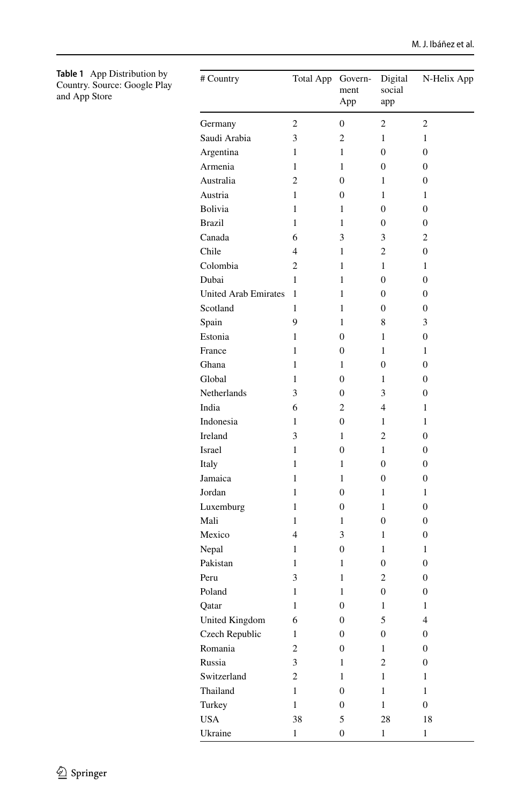<span id="page-9-0"></span>

| <b>Table 1</b> App Distribution by |
|------------------------------------|
| Country. Source: Google Play       |
| and App Store                      |

| # Country                   | <b>Total App</b>         | Govern-<br>ment<br>App | Digital<br>social<br>app | N-Helix App             |
|-----------------------------|--------------------------|------------------------|--------------------------|-------------------------|
| Germany                     | $\overline{2}$           | $\overline{0}$         | $\overline{c}$           | 2                       |
| Saudi Arabia                | 3                        | 2                      | 1                        | 1                       |
| Argentina                   | 1                        | 1                      | 0                        | 0                       |
| Armenia                     | 1                        | 1                      | 0                        | 0                       |
| Australia                   | $\overline{c}$           | 0                      | 1                        | 0                       |
| Austria                     | 1                        | 0                      | 1                        | 1                       |
| Bolivia                     | 1                        | 1                      | 0                        | 0                       |
| <b>Brazil</b>               | 1                        | 1                      | 0                        | 0                       |
| Canada                      | 6                        | 3                      | 3                        | 2                       |
| Chile                       | $\overline{\mathcal{L}}$ | 1                      | $\overline{c}$           | 0                       |
| Colombia                    | $\overline{c}$           | 1                      | 1                        | 1                       |
| Dubai                       | 1                        | 1                      | $\theta$                 | 0                       |
| <b>United Arab Emirates</b> | 1                        | 1                      | 0                        | 0                       |
| Scotland                    | 1                        | 1                      | 0                        | 0                       |
| Spain                       | 9                        | 1                      | 8                        | 3                       |
| Estonia                     | 1                        | 0                      | 1                        | 0                       |
| France                      | 1                        | 0                      | 1                        | $\mathbf{1}$            |
| Ghana                       | 1                        | 1                      | $\theta$                 | 0                       |
| Global                      | 1                        | 0                      | 1                        | 0                       |
| Netherlands                 | 3                        | 0                      | 3                        | 0                       |
| India                       | 6                        | $\overline{c}$         | $\overline{4}$           | 1                       |
| Indonesia                   | $\mathbf{1}$             | 0                      | 1                        | 1                       |
| Ireland                     | 3                        | 1                      | $\overline{c}$           | 0                       |
| Israel                      | 1                        | 0                      | 1                        | 0                       |
| Italy                       | 1                        | 1                      | $\overline{0}$           | 0                       |
| Jamaica                     | 1                        | 1                      | $\overline{0}$           | 0                       |
| Jordan                      | 1                        | 0                      | 1                        | 1                       |
| Luxemburg                   | 1                        | 0                      | 1                        | 0                       |
| Mali                        | 1                        | 1                      | 0                        | 0                       |
| Mexico                      | $\overline{4}$           | 3                      | 1                        | 0                       |
| Nepal                       | 1                        | 0                      | 1                        | 1                       |
| Pakistan                    | 1                        | 1                      | $\overline{0}$           | 0                       |
| Peru                        | 3                        | 1                      | 2                        | 0                       |
| Poland                      | $\mathbf{1}$             | 1                      | $\overline{0}$           | 0                       |
| Qatar                       | 1                        | $\overline{0}$         | 1                        | 1                       |
| <b>United Kingdom</b>       | 6                        | 0                      | 5                        | $\overline{\mathbf{4}}$ |
| Czech Republic              | 1                        | $\boldsymbol{0}$       | $\boldsymbol{0}$         | $\boldsymbol{0}$        |
| Romania                     | $\overline{c}$           | 0                      | $\mathbf{1}$             | $\boldsymbol{0}$        |
| Russia                      | 3                        | $\,1$                  | $\overline{c}$           | $\boldsymbol{0}$        |
| Switzerland                 | $\overline{c}$           | $\mathbf{1}$           | 1                        | $\,1$                   |
| Thailand                    | 1                        | $\boldsymbol{0}$       | 1                        | $\mathbf{1}$            |
| Turkey                      | 1                        | $\boldsymbol{0}$       | $\mathbf{1}$             | $\boldsymbol{0}$        |
| <b>USA</b>                  | 38                       | 5                      | 28                       | 18                      |
| Ukraine                     | $\,1$                    | $\boldsymbol{0}$       | $\mathbf{1}$             | $\mathbf{1}$            |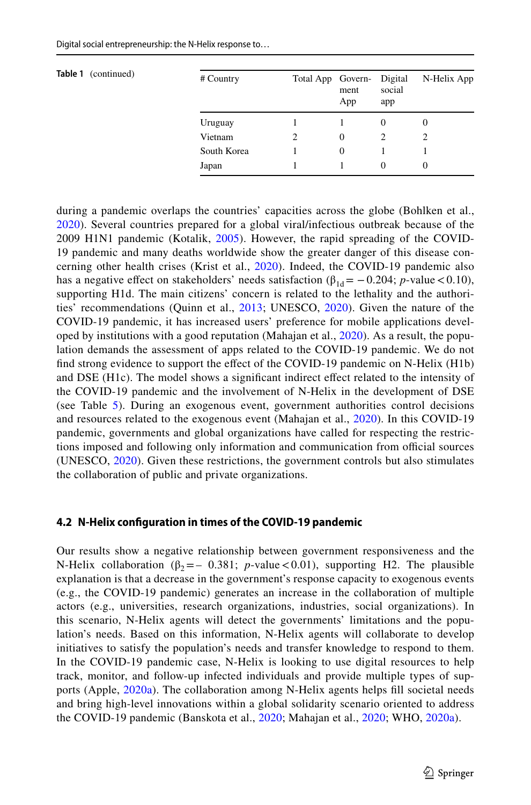|  |  |  |  |  | Digital social entrepreneurship: the N-Helix response to |
|--|--|--|--|--|----------------------------------------------------------|
|--|--|--|--|--|----------------------------------------------------------|

| <b>Table 1</b> (continued) | # Country   | Total App Govern- Digital | ment<br>App | social<br>app | N-Helix App |
|----------------------------|-------------|---------------------------|-------------|---------------|-------------|
|                            | Uruguay     |                           |             | $\theta$      | $\theta$    |
|                            | Vietnam     | 2                         | $\Omega$    | 2             | 2           |
|                            | South Korea |                           | $\Omega$    |               |             |
|                            | Japan       |                           |             | $\Omega$      | $\Omega$    |

during a pandemic overlaps the countries' capacities across the globe (Bohlken et al., [2020](#page-19-19)). Several countries prepared for a global viral/infectious outbreak because of the 2009 H1N1 pandemic (Kotalik, [2005](#page-21-5)). However, the rapid spreading of the COVID-19 pandemic and many deaths worldwide show the greater danger of this disease concerning other health crises (Krist et al., [2020](#page-21-20)). Indeed, the COVID-19 pandemic also has a negative effect on stakeholders' needs satisfaction ( $\beta_{1d} = -0.204$ ; *p*-value < 0.10), supporting H1d. The main citizens' concern is related to the lethality and the authorities' recommendations (Quinn et al., [2013;](#page-22-8) UNESCO, [2020](#page-23-8)). Given the nature of the COVID-19 pandemic, it has increased users' preference for mobile applications developed by institutions with a good reputation (Mahajan et al., [2020](#page-21-1)). As a result, the population demands the assessment of apps related to the COVID-19 pandemic. We do not find strong evidence to support the effect of the COVID-19 pandemic on N-Helix (H1b) and DSE (H1c). The model shows a significant indirect effect related to the intensity of the COVID-19 pandemic and the involvement of N-Helix in the development of DSE (see Table [5](#page-14-0)). During an exogenous event, government authorities control decisions and resources related to the exogenous event (Mahajan et al., [2020](#page-21-1)). In this COVID-19 pandemic, governments and global organizations have called for respecting the restrictions imposed and following only information and communication from official sources (UNESCO, [2020\)](#page-23-8). Given these restrictions, the government controls but also stimulates the collaboration of public and private organizations.

### **4.2 N‑Helix confguration in times of the COVID‑19 pandemic**

Our results show a negative relationship between government responsiveness and the N-Helix collaboration ( $\beta_2 = -0.381$ ; *p*-value < 0.01), supporting H2. The plausible explanation is that a decrease in the government's response capacity to exogenous events (e.g., the COVID-19 pandemic) generates an increase in the collaboration of multiple actors (e.g., universities, research organizations, industries, social organizations). In this scenario, N-Helix agents will detect the governments' limitations and the population's needs. Based on this information, N-Helix agents will collaborate to develop initiatives to satisfy the population's needs and transfer knowledge to respond to them. In the COVID-19 pandemic case, N-Helix is looking to use digital resources to help track, monitor, and follow-up infected individuals and provide multiple types of supports (Apple, [2020a](#page-19-18)). The collaboration among N-Helix agents helps fll societal needs and bring high-level innovations within a global solidarity scenario oriented to address the COVID-19 pandemic (Banskota et al., [2020;](#page-19-8) Mahajan et al., [2020](#page-21-1); WHO, [2020a](#page-23-10)).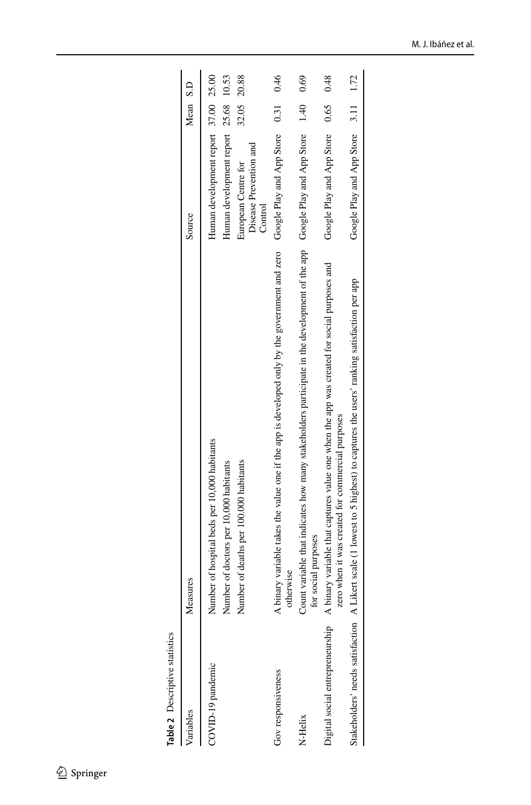<span id="page-11-0"></span>

| Table 2 Descriptive statistics |                                              |
|--------------------------------|----------------------------------------------|
| /ariables                      | Aeasures                                     |
| COVID-19 pandemic              | Number of hospital beds per 10,000 habitants |

| Variables                        | Measures                                                                                                                                              | Source                                                                       | Mean S.D |       |
|----------------------------------|-------------------------------------------------------------------------------------------------------------------------------------------------------|------------------------------------------------------------------------------|----------|-------|
| COVID-19 pandemic                | Number of hospital beds per 10,000 habitants<br>Number of doctors per 10,000 habitants                                                                | Human development report 37.00 25.00<br>Human development report 25.68 10.53 |          |       |
|                                  | Number of deaths per 100.000 habitants                                                                                                                | Disease Prevention and<br>European Centre for<br>Control                     | 32.05    | 20.88 |
| Gov responsiveness               | A binary variable takes the value one if the app is developed only by the government and zero Google Play and App Store<br>otherwise                  |                                                                              | 0.31     | 0.46  |
| N-Helix                          | Count variable that indicates how many stakeholders participate in the development of the app Google Play and App Store $1.40$<br>for social purposes |                                                                              |          | 0.69  |
| Digital social entrepreneurship  | A binary variable that captures value one when the app was created for social purposes and<br>zero when it was created for commercial purposes        | Google Play and App Store                                                    | 0.65     | 0.48  |
| Stakeholders' needs satisfaction | A Likert scale (1 lowest to 5 highest) to captures the users' ranking satisfaction per app                                                            | Google Play and App Store 3.11 1.72                                          |          |       |
|                                  |                                                                                                                                                       |                                                                              |          |       |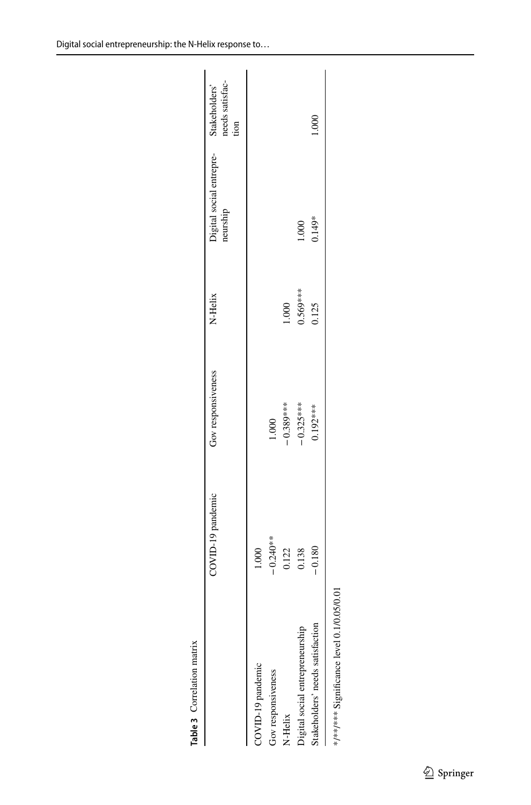|                                              | COVID-19 pandemic | Gov responsiveness | N-Helix    | Digital social entrepre-<br>neurship | Stakeholders'<br>needs satisfac-<br>tion |
|----------------------------------------------|-------------------|--------------------|------------|--------------------------------------|------------------------------------------|
| COVID-19 pandemic                            | 1.000             |                    |            |                                      |                                          |
| Gov responsiveness                           | $-0.240**$        | 1.000              |            |                                      |                                          |
| N-Helix                                      | 0.122<br>0.138    | $-0.389***$        | 1.000      |                                      |                                          |
| Digital social entrepreneurship              |                   | $-0.325***$        | $0.569***$ | 1.000                                |                                          |
| Stakeholders' needs satisfaction             | $-0.180$          | 0.192***           | 0.125      | $0.149*$                             | 1.000                                    |
| 5/0.01<br>*/**** Significance level 0.1/0.05 |                   |                    |            |                                      |                                          |

<span id="page-12-0"></span>**Table 3** Correlation matrix

Table 3 Correlation matrix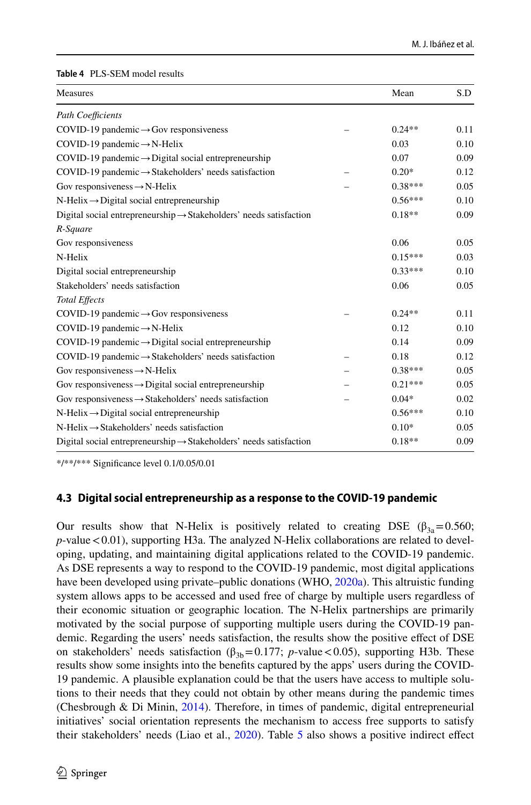#### <span id="page-13-0"></span>**Table 4** PLS-SEM model results

| Measures                                                                       | Mean      | S.D  |
|--------------------------------------------------------------------------------|-----------|------|
| <b>Path Coefficients</b>                                                       |           |      |
| COVID-19 pandemic $\rightarrow$ Gov responsiveness                             | $0.24**$  | 0.11 |
| COVID-19 pandemic $\rightarrow$ N-Helix                                        | 0.03      | 0.10 |
| $COVID-19$ pandemic $\rightarrow$ Digital social entrepreneurship              | 0.07      | 0.09 |
| $COVID-19$ pandemic $\rightarrow$ Stakeholders' needs satisfaction             | $0.20*$   | 0.12 |
| Gov responsiveness $\rightarrow$ N-Helix                                       | $0.38***$ | 0.05 |
| $N$ -Helix $\rightarrow$ Digital social entrepreneurship                       | $0.56***$ | 0.10 |
| Digital social entrepreneurship $\rightarrow$ Stakeholders' needs satisfaction | $0.18**$  | 0.09 |
| R-Square                                                                       |           |      |
| Gov responsiveness                                                             | 0.06      | 0.05 |
| N-Helix                                                                        | $0.15***$ | 0.03 |
| Digital social entrepreneurship                                                | $0.33***$ | 0.10 |
| Stakeholders' needs satisfaction                                               | 0.06      | 0.05 |
| <b>Total Effects</b>                                                           |           |      |
| COVID-19 pandemic $\rightarrow$ Gov responsiveness                             | $0.24**$  | 0.11 |
| COVID-19 pandemic $\rightarrow$ N-Helix                                        | 0.12      | 0.10 |
| $COVID-19$ pandemic $\rightarrow$ Digital social entrepreneurship              | 0.14      | 0.09 |
| COVID-19 pandemic → Stakeholders' needs satisfaction                           | 0.18      | 0.12 |
| Gov responsiveness $\rightarrow$ N-Helix                                       | $0.38***$ | 0.05 |
| Gov responsiveness $\rightarrow$ Digital social entrepreneurship               | $0.21***$ | 0.05 |
| Gov responsiveness $\rightarrow$ Stakeholders' needs satisfaction              | $0.04*$   | 0.02 |
| $N$ -Helix $\rightarrow$ Digital social entrepreneurship                       | $0.56***$ | 0.10 |
| $N$ -Helix $\rightarrow$ Stakeholders' needs satisfaction                      | $0.10*$   | 0.05 |
| Digital social entrepreneurship $\rightarrow$ Stakeholders' needs satisfaction | $0.18**$  | 0.09 |

\*/\*\*/\*\*\* Signifcance level 0.1/0.05/0.01

### **4.3 Digital social entrepreneurship as a response to the COVID‑19 pandemic**

Our results show that N-Helix is positively related to creating DSE ( $\beta_{3a}$ =0.560; p-value <0.01), supporting H3a. The analyzed N-Helix collaborations are related to developing, updating, and maintaining digital applications related to the COVID-19 pandemic. As DSE represents a way to respond to the COVID-19 pandemic, most digital applications have been developed using private–public donations (WHO, [2020a](#page-23-10)). This altruistic funding system allows apps to be accessed and used free of charge by multiple users regardless of their economic situation or geographic location. The N-Helix partnerships are primarily motivated by the social purpose of supporting multiple users during the COVID-19 pandemic. Regarding the users' needs satisfaction, the results show the positive effect of DSE on stakeholders' needs satisfaction ( $\beta_{3b}$ =0.177; *p*-value <0.05), supporting H3b. These results show some insights into the benefts captured by the apps' users during the COVID-19 pandemic. A plausible explanation could be that the users have access to multiple solutions to their needs that they could not obtain by other means during the pandemic times (Chesbrough & Di Minin, [2014](#page-19-16)). Therefore, in times of pandemic, digital entrepreneurial initiatives' social orientation represents the mechanism to access free supports to satisfy their stakeholders' needs (Liao et al., [2020](#page-21-15)). Table [5](#page-14-0) also shows a positive indirect efect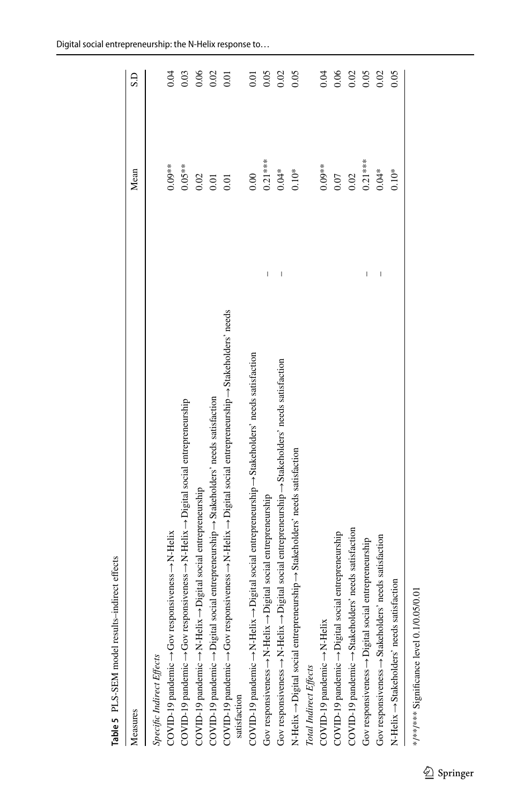| Measures                                                                                                                                   | Mean              | S.D               |
|--------------------------------------------------------------------------------------------------------------------------------------------|-------------------|-------------------|
| Specific Indirect Effects                                                                                                                  |                   |                   |
| COVID-19 pandemic → Gov responsiveness → N-Helix                                                                                           | $0.09**$          | 0.04              |
| $\text{COVID-19}$ pandemic $\rightarrow$ Gov responsiveness $\rightarrow$ N-Helix $\rightarrow$ Digital social entrepreneurship            | $0.05**$          | 0.03              |
| $\text{COVID-19}$ pandemic $\rightarrow$ N-Helix $\rightarrow$ Digital social entrepreneurship                                             | 0.02              | 0.06              |
| ial entrepreneurship  islakeholders' needs satisfaction<br>COVID-19 pandemic -> Digital soc                                                | $\overline{0.01}$ | 0.02              |
| COVID-19 pandemic-+Gov responsiveness-+N-Helix-+Digital social entrepreneurship-+Stakeholders' needs<br>satisfaction                       | 0.01              | $\overline{0.01}$ |
| $COVID-19$ pandemic $\rightarrow$ N-Helix $\rightarrow$ Digital social entrepreneurship $\rightarrow$ Stakeholders' needs satisfaction     | 0.00              | 0.01              |
| Ī<br>Gov responsiveness $\rightarrow$ N-Helix $\rightarrow$ Digital social entrepreneurship                                                | $0.21***$         | 0.05              |
| I<br>Gov responsiveness $\rightarrow$ N-Helix $\rightarrow$ Digital social entrepreneurship $\rightarrow$ Stakeholders' needs satisfaction | $0.04*$           | 0.02              |
| N-Helix -> Digital social entrepreneurship -> Stakeholders' needs satisfaction                                                             | $0.10*$           | 0.05              |
| Total Indirect Effects                                                                                                                     |                   |                   |
| COVID-19 pandemic -> N-Helix                                                                                                               | $0.09**$          | 0.04              |
| COVID-19 pandemic -> Digital social entrepreneurship                                                                                       | 0.07              | 0.06              |
| COVID-19 pandemic -> Stakeholders' needs satisfaction                                                                                      | 0.02              | 0.02              |
| Ī<br>Gov responsiveness -> Digital social entrepreneurship                                                                                 | $0.21***$         | 0.05              |
| $\overline{\phantom{a}}$<br>Gov responsiveness $\rightarrow$ Stakeholders' needs satisfaction                                              | $0.04*$           | 0.02              |
| N-Helix  is Stakeholders' needs satisfaction                                                                                               | $0.10*$           | 0.05              |
|                                                                                                                                            |                   |                   |

<span id="page-14-0"></span>**Table 5** PLS-SEM model results–indirect efects

Table 5 PLS-SEM model results-indirect effects

Digital social entrepreneurship: the N-Helix response to…

\*/\*\*/\*\*\* Significance level 0.1/0.05/0.01 \*/\*\*/\*\*\* Signifcance level 0.1/0.05/0.01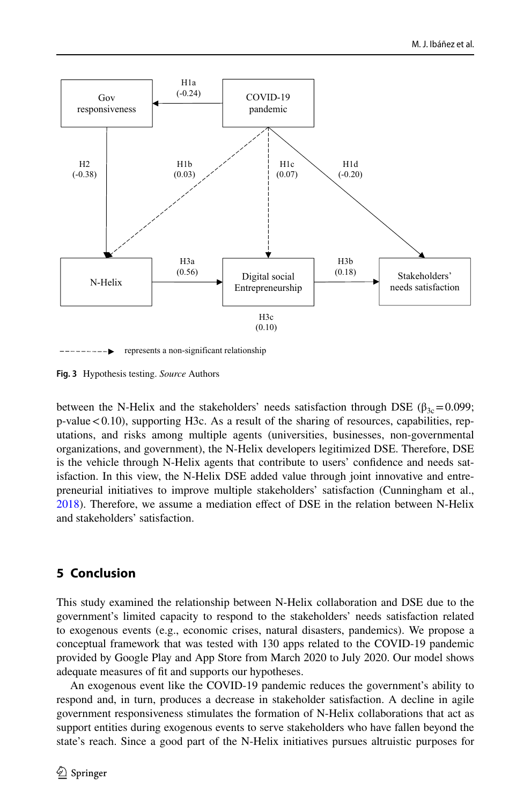

represents a non-significant relationship

<span id="page-15-0"></span>**Fig. 3** Hypothesis testing. *Source* Authors

between the N-Helix and the stakeholders' needs satisfaction through DSE ( $\beta_{3c}$  = 0.099;  $p$ -value  $< 0.10$ ), supporting H3c. As a result of the sharing of resources, capabilities, reputations, and risks among multiple agents (universities, businesses, non-governmental organizations, and government), the N-Helix developers legitimized DSE. Therefore, DSE is the vehicle through N-Helix agents that contribute to users' confdence and needs satisfaction. In this view, the N-Helix DSE added value through joint innovative and entrepreneurial initiatives to improve multiple stakeholders' satisfaction (Cunningham et al., [2018\)](#page-19-20). Therefore, we assume a mediation efect of DSE in the relation between N-Helix and stakeholders' satisfaction.

# **5 Conclusion**

This study examined the relationship between N-Helix collaboration and DSE due to the government's limited capacity to respond to the stakeholders' needs satisfaction related to exogenous events (e.g., economic crises, natural disasters, pandemics). We propose a conceptual framework that was tested with 130 apps related to the COVID-19 pandemic provided by Google Play and App Store from March 2020 to July 2020. Our model shows adequate measures of ft and supports our hypotheses.

An exogenous event like the COVID-19 pandemic reduces the government's ability to respond and, in turn, produces a decrease in stakeholder satisfaction. A decline in agile government responsiveness stimulates the formation of N-Helix collaborations that act as support entities during exogenous events to serve stakeholders who have fallen beyond the state's reach. Since a good part of the N-Helix initiatives pursues altruistic purposes for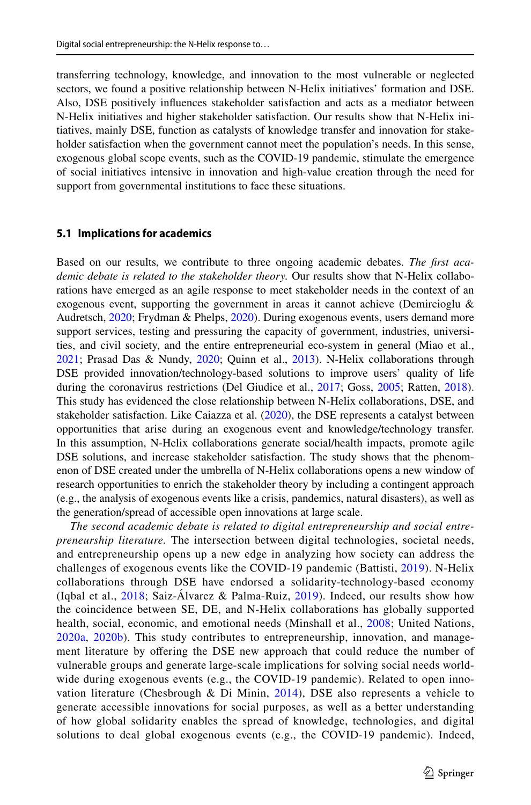transferring technology, knowledge, and innovation to the most vulnerable or neglected sectors, we found a positive relationship between N-Helix initiatives' formation and DSE. Also, DSE positively infuences stakeholder satisfaction and acts as a mediator between N-Helix initiatives and higher stakeholder satisfaction. Our results show that N-Helix initiatives, mainly DSE, function as catalysts of knowledge transfer and innovation for stakeholder satisfaction when the government cannot meet the population's needs. In this sense, exogenous global scope events, such as the COVID-19 pandemic, stimulate the emergence of social initiatives intensive in innovation and high-value creation through the need for support from governmental institutions to face these situations.

#### **5.1 Implications for academics**

Based on our results, we contribute to three ongoing academic debates. *The frst academic debate is related to the stakeholder theory.* Our results show that N-Helix collaborations have emerged as an agile response to meet stakeholder needs in the context of an exogenous event, supporting the government in areas it cannot achieve (Demircioglu & Audretsch, [2020](#page-20-10); Frydman & Phelps, [2020](#page-20-0)). During exogenous events, users demand more support services, testing and pressuring the capacity of government, industries, universities, and civil society, and the entire entrepreneurial eco-system in general (Miao et al., [2021;](#page-22-17) Prasad Das & Nundy, [2020;](#page-22-18) Quinn et al., [2013\)](#page-22-8). N-Helix collaborations through DSE provided innovation/technology-based solutions to improve users' quality of life during the coronavirus restrictions (Del Giudice et al., [2017;](#page-19-7) Goss, [2005;](#page-20-18) Ratten, [2018](#page-22-16)). This study has evidenced the close relationship between N-Helix collaborations, DSE, and stakeholder satisfaction. Like Caiazza et al.  $(2020)$  $(2020)$ , the DSE represents a catalyst between opportunities that arise during an exogenous event and knowledge/technology transfer. In this assumption, N-Helix collaborations generate social/health impacts, promote agile DSE solutions, and increase stakeholder satisfaction. The study shows that the phenomenon of DSE created under the umbrella of N-Helix collaborations opens a new window of research opportunities to enrich the stakeholder theory by including a contingent approach (e.g., the analysis of exogenous events like a crisis, pandemics, natural disasters), as well as the generation/spread of accessible open innovations at large scale.

*The second academic debate is related to digital entrepreneurship and social entrepreneurship literature.* The intersection between digital technologies, societal needs, and entrepreneurship opens up a new edge in analyzing how society can address the challenges of exogenous events like the COVID-19 pandemic (Battisti, [2019\)](#page-19-6). N-Helix collaborations through DSE have endorsed a solidarity-technology-based economy (Iqbal et al., [2018;](#page-21-2) Saiz-Álvarez & Palma-Ruiz, [2019\)](#page-22-12). Indeed, our results show how the coincidence between SE, DE, and N-Helix collaborations has globally supported health, social, economic, and emotional needs (Minshall et al., [2008;](#page-22-13) United Nations, [2020a,](#page-23-13) [2020b](#page-23-6)). This study contributes to entrepreneurship, innovation, and management literature by offering the DSE new approach that could reduce the number of vulnerable groups and generate large-scale implications for solving social needs worldwide during exogenous events (e.g., the COVID-19 pandemic). Related to open innovation literature (Chesbrough & Di Minin,  $2014$ ), DSE also represents a vehicle to generate accessible innovations for social purposes, as well as a better understanding of how global solidarity enables the spread of knowledge, technologies, and digital solutions to deal global exogenous events (e.g., the COVID-19 pandemic). Indeed,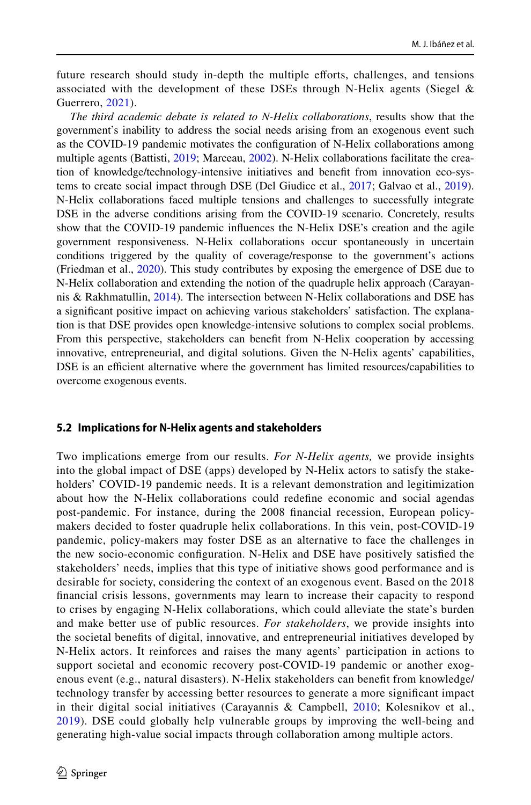future research should study in-depth the multiple efforts, challenges, and tensions associated with the development of these DSEs through N-Helix agents (Siegel  $\&$ Guerrero, [2021\)](#page-23-5).

*The third academic debate is related to N-Helix collaborations*, results show that the government's inability to address the social needs arising from an exogenous event such as the COVID-19 pandemic motivates the confguration of N-Helix collaborations among multiple agents (Battisti, [2019](#page-19-6); Marceau, [2002](#page-21-14)). N-Helix collaborations facilitate the creation of knowledge/technology-intensive initiatives and beneft from innovation eco-systems to create social impact through DSE (Del Giudice et al., [2017;](#page-19-7) Galvao et al., [2019](#page-20-9)). N-Helix collaborations faced multiple tensions and challenges to successfully integrate DSE in the adverse conditions arising from the COVID-19 scenario. Concretely, results show that the COVID-19 pandemic infuences the N-Helix DSE's creation and the agile government responsiveness. N-Helix collaborations occur spontaneously in uncertain conditions triggered by the quality of coverage/response to the government's actions (Friedman et al., [2020\)](#page-20-15). This study contributes by exposing the emergence of DSE due to N-Helix collaboration and extending the notion of the quadruple helix approach (Carayannis & Rakhmatullin, [2014](#page-19-0)). The intersection between N-Helix collaborations and DSE has a signifcant positive impact on achieving various stakeholders' satisfaction. The explanation is that DSE provides open knowledge-intensive solutions to complex social problems. From this perspective, stakeholders can beneft from N-Helix cooperation by accessing innovative, entrepreneurial, and digital solutions. Given the N-Helix agents' capabilities, DSE is an efficient alternative where the government has limited resources/capabilities to overcome exogenous events.

### **5.2 Implications for N‑Helix agents and stakeholders**

Two implications emerge from our results. *For N-Helix agents,* we provide insights into the global impact of DSE (apps) developed by N-Helix actors to satisfy the stakeholders' COVID-19 pandemic needs. It is a relevant demonstration and legitimization about how the N-Helix collaborations could redefne economic and social agendas post-pandemic. For instance, during the 2008 fnancial recession, European policymakers decided to foster quadruple helix collaborations. In this vein, post-COVID-19 pandemic, policy-makers may foster DSE as an alternative to face the challenges in the new socio-economic confguration. N-Helix and DSE have positively satisfed the stakeholders' needs, implies that this type of initiative shows good performance and is desirable for society, considering the context of an exogenous event. Based on the 2018 fnancial crisis lessons, governments may learn to increase their capacity to respond to crises by engaging N-Helix collaborations, which could alleviate the state's burden and make better use of public resources. *For stakeholders*, we provide insights into the societal benefts of digital, innovative, and entrepreneurial initiatives developed by N-Helix actors. It reinforces and raises the many agents' participation in actions to support societal and economic recovery post-COVID-19 pandemic or another exogenous event (e.g., natural disasters). N-Helix stakeholders can beneft from knowledge/ technology transfer by accessing better resources to generate a more signifcant impact in their digital social initiatives (Carayannis & Campbell,  $2010$ ; Kolesnikov et al., [2019\)](#page-21-11). DSE could globally help vulnerable groups by improving the well-being and generating high-value social impacts through collaboration among multiple actors.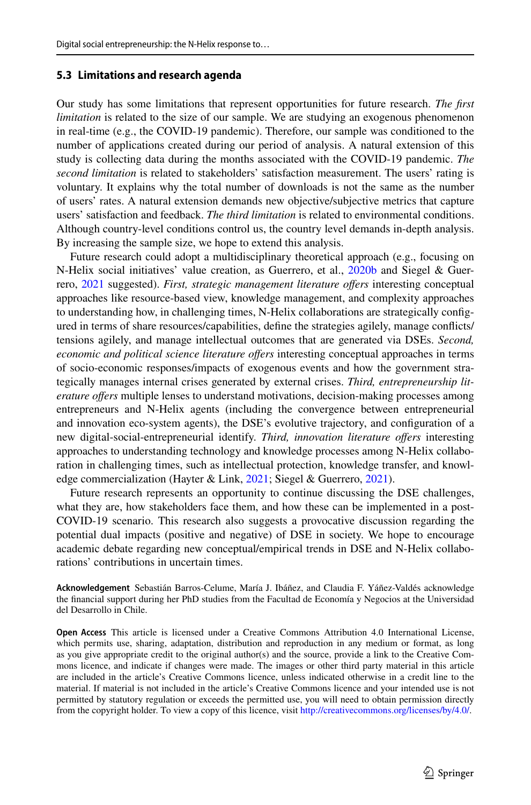#### **5.3 Limitations and research agenda**

Our study has some limitations that represent opportunities for future research. *The frst limitation* is related to the size of our sample. We are studying an exogenous phenomenon in real-time (e.g., the COVID-19 pandemic). Therefore, our sample was conditioned to the number of applications created during our period of analysis. A natural extension of this study is collecting data during the months associated with the COVID-19 pandemic. *The second limitation* is related to stakeholders' satisfaction measurement. The users' rating is voluntary. It explains why the total number of downloads is not the same as the number of users' rates. A natural extension demands new objective/subjective metrics that capture users' satisfaction and feedback. *The third limitation* is related to environmental conditions. Although country-level conditions control us, the country level demands in-depth analysis. By increasing the sample size, we hope to extend this analysis.

Future research could adopt a multidisciplinary theoretical approach (e.g., focusing on N-Helix social initiatives' value creation, as Guerrero, et al., [2020b](#page-20-14) and Siegel & Guerrero, [2021](#page-23-5) suggested). *First, strategic management literature ofers* interesting conceptual approaches like resource-based view, knowledge management, and complexity approaches to understanding how, in challenging times, N-Helix collaborations are strategically confgured in terms of share resources/capabilities, defne the strategies agilely, manage conficts/ tensions agilely, and manage intellectual outcomes that are generated via DSEs. *Second,*  economic and political science literature offers interesting conceptual approaches in terms of socio-economic responses/impacts of exogenous events and how the government strategically manages internal crises generated by external crises. *Third, entrepreneurship literature ofers* multiple lenses to understand motivations, decision-making processes among entrepreneurs and N-Helix agents (including the convergence between entrepreneurial and innovation eco-system agents), the DSE's evolutive trajectory, and confguration of a new digital-social-entrepreneurial identify. *Third, innovation literature ofers* interesting approaches to understanding technology and knowledge processes among N-Helix collaboration in challenging times, such as intellectual protection, knowledge transfer, and knowl-edge commercialization (Hayter & Link, [2021;](#page-20-21) Siegel & Guerrero, [2021\)](#page-23-5).

Future research represents an opportunity to continue discussing the DSE challenges, what they are, how stakeholders face them, and how these can be implemented in a post-COVID-19 scenario. This research also suggests a provocative discussion regarding the potential dual impacts (positive and negative) of DSE in society. We hope to encourage academic debate regarding new conceptual/empirical trends in DSE and N-Helix collaborations' contributions in uncertain times.

**Acknowledgement** Sebastián Barros-Celume, María J. Ibáñez, and Claudia F. Yáñez-Valdés acknowledge the fnancial support during her PhD studies from the Facultad de Economía y Negocios at the Universidad del Desarrollo in Chile.

**Open Access** This article is licensed under a Creative Commons Attribution 4.0 International License, which permits use, sharing, adaptation, distribution and reproduction in any medium or format, as long as you give appropriate credit to the original author(s) and the source, provide a link to the Creative Commons licence, and indicate if changes were made. The images or other third party material in this article are included in the article's Creative Commons licence, unless indicated otherwise in a credit line to the material. If material is not included in the article's Creative Commons licence and your intended use is not permitted by statutory regulation or exceeds the permitted use, you will need to obtain permission directly from the copyright holder. To view a copy of this licence, visit [http://creativecommons.org/licenses/by/4.0/.](http://creativecommons.org/licenses/by/4.0/)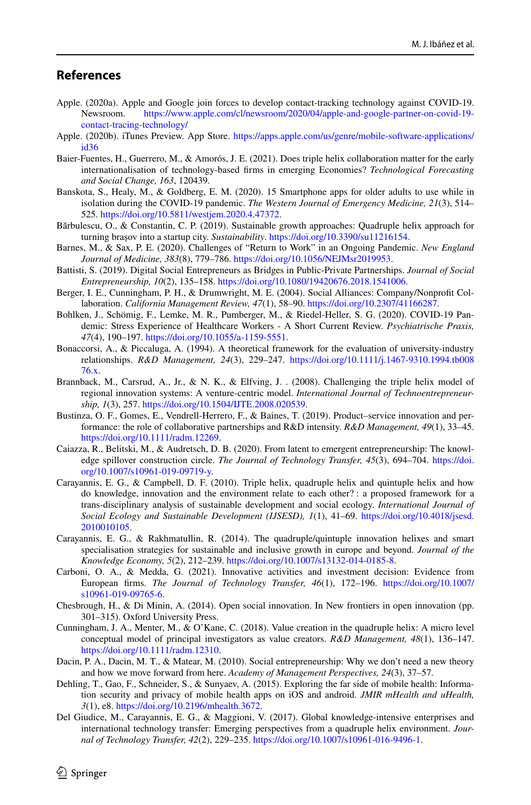# **References**

- <span id="page-19-18"></span>Apple. (2020a). Apple and Google join forces to develop contact-tracking technology against COVID-19.<br>Newsroom. https://www.apple.com/cl/newsroom/2020/04/apple-and-google-partner-on-covid-19[https://www.apple.com/cl/newsroom/2020/04/apple-and-google-partner-on-covid-19](https://www.apple.com/cl/newsroom/2020/04/apple-and-google-partner-on-covid-19-contact-tracing-technology/) [contact-tracing-technology/](https://www.apple.com/cl/newsroom/2020/04/apple-and-google-partner-on-covid-19-contact-tracing-technology/)
- <span id="page-19-4"></span>Apple. (2020b). iTunes Preview. App Store. [https://apps.apple.com/us/genre/mobile-software-applications/](https://apps.apple.com/us/genre/mobile-software-applications/id36) [id36](https://apps.apple.com/us/genre/mobile-software-applications/id36)
- <span id="page-19-10"></span>Baier-Fuentes, H., Guerrero, M., & Amorós, J. E. (2021). Does triple helix collaboration matter for the early internationalisation of technology-based frms in emerging Economies? *Technological Forecasting and Social Change, 163*, 120439.
- <span id="page-19-8"></span>Banskota, S., Healy, M., & Goldberg, E. M. (2020). 15 Smartphone apps for older adults to use while in isolation during the COVID-19 pandemic. *The Western Journal of Emergency Medicine, 21*(3), 514– 525.<https://doi.org/10.5811/westjem.2020.4.47372>.
- <span id="page-19-11"></span>Bărbulescu, O., & Constantin, C. P. (2019). Sustainable growth approaches: Quadruple helix approach for turning brașov into a startup city. *Sustainability*. [https://doi.org/10.3390/su11216154.](https://doi.org/10.3390/su11216154)
- <span id="page-19-2"></span>Barnes, M., & Sax, P. E. (2020). Challenges of "Return to Work" in an Ongoing Pandemic. *New England Journal of Medicine, 383*(8), 779–786. [https://doi.org/10.1056/NEJMsr2019953.](https://doi.org/10.1056/NEJMsr2019953)
- <span id="page-19-6"></span>Battisti, S. (2019). Digital Social Entrepreneurs as Bridges in Public-Private Partnerships. *Journal of Social Entrepreneurship, 10*(2), 135–158. [https://doi.org/10.1080/19420676.2018.1541006.](https://doi.org/10.1080/19420676.2018.1541006)
- <span id="page-19-15"></span>Berger, I. E., Cunningham, P. H., & Drumwright, M. E. (2004). Social Alliances: Company/Nonproft Collaboration. *California Management Review, 47*(1), 58–90. <https://doi.org/10.2307/41166287>.
- <span id="page-19-19"></span>Bohlken, J., Schömig, F., Lemke, M. R., Pumberger, M., & Riedel-Heller, S. G. (2020). COVID-19 Pandemic: Stress Experience of Healthcare Workers - A Short Current Review. *Psychiatrische Praxis, 47*(4), 190–197. [https://doi.org/10.1055/a-1159-5551.](https://doi.org/10.1055/a-1159-5551)
- <span id="page-19-17"></span>Bonaccorsi, A., & Piccaluga, A. (1994). A theoretical framework for the evaluation of university-industry relationships. *R&D Management, 24*(3), 229–247. [https://doi.org/10.1111/j.1467-9310.1994.tb008](https://doi.org/10.1111/j.1467-9310.1994.tb00876.x) [76.x](https://doi.org/10.1111/j.1467-9310.1994.tb00876.x).
- <span id="page-19-13"></span>Brannback, M., Carsrud, A., Jr., & N. K., & Elfving, J. . (2008). Challenging the triple helix model of regional innovation systems: A venture-centric model. *International Journal of Technoentrepreneurship, 1*(3), 257. [https://doi.org/10.1504/IJTE.2008.020539.](https://doi.org/10.1504/IJTE.2008.020539)
- <span id="page-19-3"></span>Bustinza, O. F., Gomes, E., Vendrell-Herrero, F., & Baines, T. (2019). Product–service innovation and performance: the role of collaborative partnerships and R&D intensity. *R&D Management, 49*(1), 33–45. <https://doi.org/10.1111/radm.12269>.
- <span id="page-19-14"></span>Caiazza, R., Belitski, M., & Audretsch, D. B. (2020). From latent to emergent entrepreneurship: The knowledge spillover construction circle. *The Journal of Technology Transfer, 45*(3), 694–704. [https://doi.](https://doi.org/10.1007/s10961-019-09719-y) [org/10.1007/s10961-019-09719-y.](https://doi.org/10.1007/s10961-019-09719-y)
- <span id="page-19-1"></span>Carayannis, E. G., & Campbell, D. F. (2010). Triple helix, quadruple helix and quintuple helix and how do knowledge, innovation and the environment relate to each other? : a proposed framework for a trans-disciplinary analysis of sustainable development and social ecology. *International Journal of Social Ecology and Sustainable Development (IJSESD), 1*(1), 41–69. [https://doi.org/10.4018/jsesd.](https://doi.org/10.4018/jsesd.2010010105) [2010010105](https://doi.org/10.4018/jsesd.2010010105).
- <span id="page-19-0"></span>Carayannis, E. G., & Rakhmatullin, R. (2014). The quadruple/quintuple innovation helixes and smart specialisation strategies for sustainable and inclusive growth in europe and beyond. *Journal of the Knowledge Economy, 5*(2), 212–239. <https://doi.org/10.1007/s13132-014-0185-8>.
- <span id="page-19-12"></span>Carboni, O. A., & Medda, G. (2021). Innovative activities and investment decision: Evidence from European frms. *The Journal of Technology Transfer, 46*(1), 172–196. [https://doi.org/10.1007/](https://doi.org/10.1007/s10961-019-09765-6) [s10961-019-09765-6](https://doi.org/10.1007/s10961-019-09765-6).
- <span id="page-19-16"></span>Chesbrough, H., & Di Minin, A. (2014). Open social innovation. In New frontiers in open innovation (pp. 301–315). Oxford University Press.
- <span id="page-19-20"></span>Cunningham, J. A., Menter, M., & O'Kane, C. (2018). Value creation in the quadruple helix: A micro level conceptual model of principal investigators as value creators. *R&D Management, 48*(1), 136–147. <https://doi.org/10.1111/radm.12310>.
- <span id="page-19-5"></span>Dacin, P. A., Dacin, M. T., & Matear, M. (2010). Social entrepreneurship: Why we don't need a new theory and how we move forward from here. *Academy of Management Perspectives, 24*(3), 37–57.
- <span id="page-19-9"></span>Dehling, T., Gao, F., Schneider, S., & Sunyaev, A. (2015). Exploring the far side of mobile health: Information security and privacy of mobile health apps on iOS and android. *JMIR mHealth and uHealth, 3*(1), e8.<https://doi.org/10.2196/mhealth.3672>.
- <span id="page-19-7"></span>Del Giudice, M., Carayannis, E. G., & Maggioni, V. (2017). Global knowledge-intensive enterprises and international technology transfer: Emerging perspectives from a quadruple helix environment. *Journal of Technology Transfer, 42*(2), 229–235. <https://doi.org/10.1007/s10961-016-9496-1>.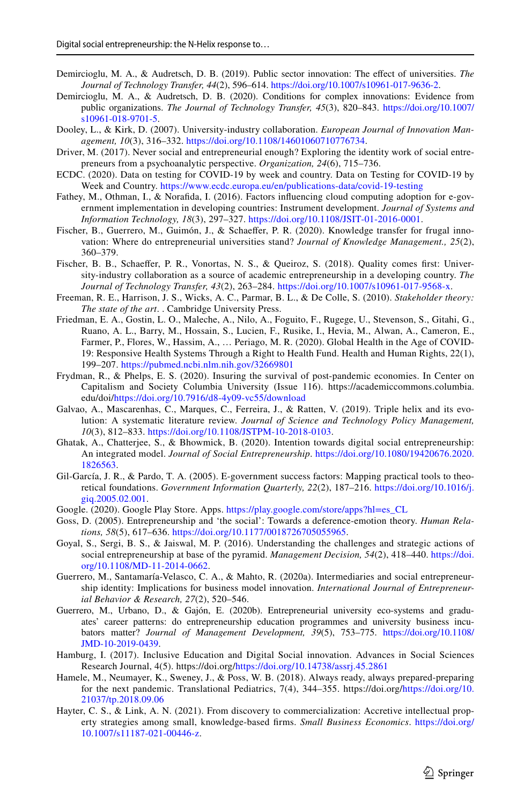- <span id="page-20-12"></span>Demircioglu, M. A., & Audretsch, D. B. (2019). Public sector innovation: The efect of universities. *The Journal of Technology Transfer, 44*(2), 596–614. [https://doi.org/10.1007/s10961-017-9636-2.](https://doi.org/10.1007/s10961-017-9636-2)
- <span id="page-20-10"></span>Demircioglu, M. A., & Audretsch, D. B. (2020). Conditions for complex innovations: Evidence from public organizations. *The Journal of Technology Transfer, 45*(3), 820–843. [https://doi.org/10.1007/](https://doi.org/10.1007/s10961-018-9701-5) [s10961-018-9701-5](https://doi.org/10.1007/s10961-018-9701-5).
- <span id="page-20-13"></span>Dooley, L., & Kirk, D. (2007). University-industry collaboration. *European Journal of Innovation Management, 10*(3), 316–332.<https://doi.org/10.1108/14601060710776734>.
- <span id="page-20-5"></span>Driver, M. (2017). Never social and entrepreneurial enough? Exploring the identity work of social entrepreneurs from a psychoanalytic perspective. *Organization, 24*(6), 715–736.
- <span id="page-20-19"></span>ECDC. (2020). Data on testing for COVID-19 by week and country. Data on Testing for COVID-19 by Week and Country. <https://www.ecdc.europa.eu/en/publications-data/covid-19-testing>
- <span id="page-20-3"></span>Fathey, M., Othman, I., & Norafda, I. (2016). Factors infuencing cloud computing adoption for e-government implementation in developing countries: Instrument development. *Journal of Systems and Information Technology, 18*(3), 297–327. <https://doi.org/10.1108/JSIT-01-2016-0001>.
- <span id="page-20-16"></span>Fischer, B., Guerrero, M., Guimón, J., & Schaeffer, P. R. (2020). Knowledge transfer for frugal innovation: Where do entrepreneurial universities stand? *Journal of Knowledge Management., 25*(2), 360–379.
- <span id="page-20-11"></span>Fischer, B. B., Schaefer, P. R., Vonortas, N. S., & Queiroz, S. (2018). Quality comes frst: University-industry collaboration as a source of academic entrepreneurship in a developing country. *The Journal of Technology Transfer, 43*(2), 263–284. [https://doi.org/10.1007/s10961-017-9568-x.](https://doi.org/10.1007/s10961-017-9568-x)
- <span id="page-20-8"></span>Freeman, R. E., Harrison, J. S., Wicks, A. C., Parmar, B. L., & De Colle, S. (2010). *Stakeholder theory: The state of the art*. . Cambridge University Press.
- <span id="page-20-15"></span>Friedman, E. A., Gostin, L. O., Maleche, A., Nilo, A., Foguito, F., Rugege, U., Stevenson, S., Gitahi, G., Ruano, A. L., Barry, M., Hossain, S., Lucien, F., Rusike, I., Hevia, M., Alwan, A., Cameron, E., Farmer, P., Flores, W., Hassim, A., … Periago, M. R. (2020). Global Health in the Age of COVID-19: Responsive Health Systems Through a Right to Health Fund. Health and Human Rights, 22(1), 199–207.<https://pubmed.ncbi.nlm.nih.gov/32669801>
- <span id="page-20-0"></span>Frydman, R., & Phelps, E. S. (2020). Insuring the survival of post-pandemic economies. In Center on Capitalism and Society Columbia University (Issue 116). https://academiccommons.columbia. edu/doi[/https://doi.org/10.7916/d8-4y09-vc55/download](https://doi.org/10.7916/d8-4y09-vc55/download)
- <span id="page-20-9"></span>Galvao, A., Mascarenhas, C., Marques, C., Ferreira, J., & Ratten, V. (2019). Triple helix and its evolution: A systematic literature review. *Journal of Science and Technology Policy Management, 10*(3), 812–833.<https://doi.org/10.1108/JSTPM-10-2018-0103>.
- <span id="page-20-7"></span>Ghatak, A., Chatterjee, S., & Bhowmick, B. (2020). Intention towards digital social entrepreneurship: An integrated model. *Journal of Social Entrepreneurship*. [https://doi.org/10.1080/19420676.2020.](https://doi.org/10.1080/19420676.2020.1826563) [1826563](https://doi.org/10.1080/19420676.2020.1826563).
- <span id="page-20-2"></span>Gil-García, J. R., & Pardo, T. A. (2005). E-government success factors: Mapping practical tools to theoretical foundations. *Government Information Quarterly, 22*(2), 187–216. [https://doi.org/10.1016/j.](https://doi.org/10.1016/j.giq.2005.02.001) [giq.2005.02.001](https://doi.org/10.1016/j.giq.2005.02.001).
- <span id="page-20-4"></span>Google. (2020). Google Play Store. Apps. [https://play.google.com/store/apps?hl=es\\_CL](https://play.google.com/store/apps?hl=es_CL)
- <span id="page-20-18"></span>Goss, D. (2005). Entrepreneurship and 'the social': Towards a deference-emotion theory. *Human Relations, 58*(5), 617–636. [https://doi.org/10.1177/0018726705055965.](https://doi.org/10.1177/0018726705055965)
- <span id="page-20-17"></span>Goyal, S., Sergi, B. S., & Jaiswal, M. P. (2016). Understanding the challenges and strategic actions of social entrepreneurship at base of the pyramid. *Management Decision, 54*(2), 418–440. [https://doi.](https://doi.org/10.1108/MD-11-2014-0662) [org/10.1108/MD-11-2014-0662](https://doi.org/10.1108/MD-11-2014-0662).
- <span id="page-20-20"></span>Guerrero, M., Santamaría-Velasco, C. A., & Mahto, R. (2020a). Intermediaries and social entrepreneurship identity: Implications for business model innovation. *International Journal of Entrepreneurial Behavior & Research, 27*(2), 520–546.
- <span id="page-20-14"></span>Guerrero, M., Urbano, D., & Gajón, E. (2020b). Entrepreneurial university eco-systems and graduates' career patterns: do entrepreneurship education programmes and university business incubators matter? *Journal of Management Development, 39*(5), 753–775. [https://doi.org/10.1108/](https://doi.org/10.1108/JMD-10-2019-0439) [JMD-10-2019-0439](https://doi.org/10.1108/JMD-10-2019-0439).
- <span id="page-20-6"></span>Hamburg, I. (2017). Inclusive Education and Digital Social innovation. Advances in Social Sciences Research Journal, 4(5). https://doi.org/<https://doi.org/10.14738/assrj.45.2861>
- <span id="page-20-1"></span>Hamele, M., Neumayer, K., Sweney, J., & Poss, W. B. (2018). Always ready, always prepared-preparing for the next pandemic. Translational Pediatrics, 7(4), 344–355. https://doi.org[/https://doi.org/10.](https://doi.org/10.21037/tp.2018.09.06) [21037/tp.2018.09.06](https://doi.org/10.21037/tp.2018.09.06)
- <span id="page-20-21"></span>Hayter, C. S., & Link, A. N. (2021). From discovery to commercialization: Accretive intellectual property strategies among small, knowledge-based frms. *Small Business Economics*. [https://doi.org/](https://doi.org/10.1007/s11187-021-00446-z) [10.1007/s11187-021-00446-z](https://doi.org/10.1007/s11187-021-00446-z).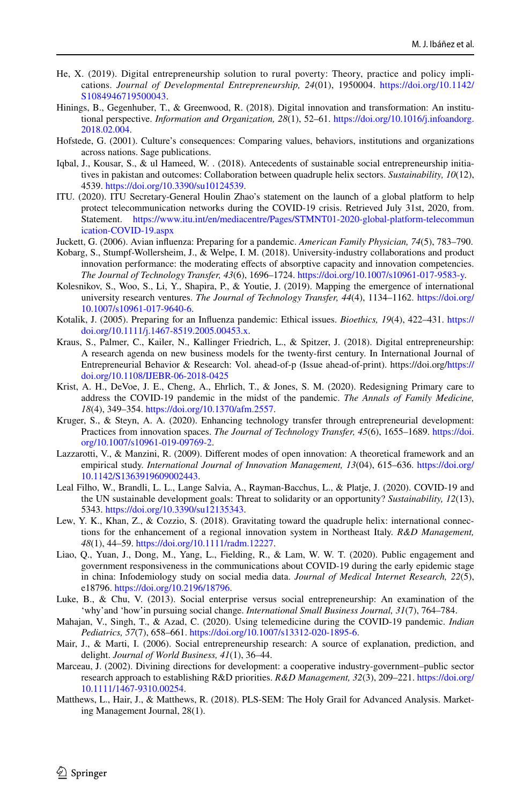- <span id="page-21-10"></span>He, X. (2019). Digital entrepreneurship solution to rural poverty: Theory, practice and policy implications. *Journal of Developmental Entrepreneurship, 24*(01), 1950004. [https://doi.org/10.1142/](https://doi.org/10.1142/S1084946719500043) [S1084946719500043.](https://doi.org/10.1142/S1084946719500043)
- <span id="page-21-13"></span>Hinings, B., Gegenhuber, T., & Greenwood, R. (2018). Digital innovation and transformation: An institutional perspective. *Information and Organization, 28*(1), 52–61. [https://doi.org/10.1016/j.infoandorg.](https://doi.org/10.1016/j.infoandorg.2018.02.004) [2018.02.004](https://doi.org/10.1016/j.infoandorg.2018.02.004).
- <span id="page-21-6"></span>Hofstede, G. (2001). Culture's consequences: Comparing values, behaviors, institutions and organizations across nations. Sage publications.
- <span id="page-21-2"></span>Iqbal, J., Kousar, S., & ul Hameed, W. . (2018). Antecedents of sustainable social entrepreneurship initiatives in pakistan and outcomes: Collaboration between quadruple helix sectors. *Sustainability, 10*(12), 4539. [https://doi.org/10.3390/su10124539.](https://doi.org/10.3390/su10124539)
- <span id="page-21-7"></span>ITU. (2020). ITU Secretary-General Houlin Zhao's statement on the launch of a global platform to help protect telecommunication networks during the COVID-19 crisis. Retrieved July 31st, 2020, from. Statement. [https://www.itu.int/en/mediacentre/Pages/STMNT01-2020-global-platform-telecommun](https://www.itu.int/en/mediacentre/Pages/STMNT01-2020-global-platform-telecommunication-COVID-19.aspx) [ication-COVID-19.aspx](https://www.itu.int/en/mediacentre/Pages/STMNT01-2020-global-platform-telecommunication-COVID-19.aspx)
- <span id="page-21-0"></span>Juckett, G. (2006). Avian infuenza: Preparing for a pandemic. *American Family Physician, 74*(5), 783–790.
- <span id="page-21-8"></span>Kobarg, S., Stumpf-Wollersheim, J., & Welpe, I. M. (2018). University-industry collaborations and product innovation performance: the moderating efects of absorptive capacity and innovation competencies. *The Journal of Technology Transfer, 43*(6), 1696–1724.<https://doi.org/10.1007/s10961-017-9583-y>.
- <span id="page-21-11"></span>Kolesnikov, S., Woo, S., Li, Y., Shapira, P., & Youtie, J. (2019). Mapping the emergence of international university research ventures. *The Journal of Technology Transfer, 44*(4), 1134–1162. [https://doi.org/](https://doi.org/10.1007/s10961-017-9640-6) [10.1007/s10961-017-9640-6.](https://doi.org/10.1007/s10961-017-9640-6)
- <span id="page-21-5"></span>Kotalik, J. (2005). Preparing for an Infuenza pandemic: Ethical issues. *Bioethics, 19*(4), 422–431. [https://](https://doi.org/10.1111/j.1467-8519.2005.00453.x) [doi.org/10.1111/j.1467-8519.2005.00453.x](https://doi.org/10.1111/j.1467-8519.2005.00453.x).
- <span id="page-21-3"></span>Kraus, S., Palmer, C., Kailer, N., Kallinger Friedrich, L., & Spitzer, J. (2018). Digital entrepreneurship: A research agenda on new business models for the twenty-frst century. In International Journal of Entrepreneurial Behavior & Research: Vol. ahead-of-p (Issue ahead-of-print). https://doi.org[/https://](https://doi.org/10.1108/IJEBR-06-2018-0425) [doi.org/10.1108/IJEBR-06-2018-0425](https://doi.org/10.1108/IJEBR-06-2018-0425)
- <span id="page-21-20"></span>Krist, A. H., DeVoe, J. E., Cheng, A., Ehrlich, T., & Jones, S. M. (2020). Redesigning Primary care to address the COVID-19 pandemic in the midst of the pandemic. *The Annals of Family Medicine, 18*(4), 349–354. <https://doi.org/10.1370/afm.2557>.
- <span id="page-21-12"></span>Kruger, S., & Steyn, A. A. (2020). Enhancing technology transfer through entrepreneurial development: Practices from innovation spaces. *The Journal of Technology Transfer, 45*(6), 1655–1689. [https://doi.](https://doi.org/10.1007/s10961-019-09769-2) [org/10.1007/s10961-019-09769-2](https://doi.org/10.1007/s10961-019-09769-2).
- <span id="page-21-17"></span>Lazzarotti, V., & Manzini, R. (2009). Diferent modes of open innovation: A theoretical framework and an empirical study. *International Journal of Innovation Management, 13*(04), 615–636. [https://doi.org/](https://doi.org/10.1142/S1363919609002443) [10.1142/S1363919609002443.](https://doi.org/10.1142/S1363919609002443)
- <span id="page-21-19"></span>Leal Filho, W., Brandli, L. L., Lange Salvia, A., Rayman-Bacchus, L., & Platje, J. (2020). COVID-19 and the UN sustainable development goals: Threat to solidarity or an opportunity? *Sustainability, 12*(13), 5343. [https://doi.org/10.3390/su12135343.](https://doi.org/10.3390/su12135343)
- <span id="page-21-9"></span>Lew, Y. K., Khan, Z., & Cozzio, S. (2018). Gravitating toward the quadruple helix: international connections for the enhancement of a regional innovation system in Northeast Italy. *R&D Management, 48*(1), 44–59. <https://doi.org/10.1111/radm.12227>.
- <span id="page-21-15"></span>Liao, Q., Yuan, J., Dong, M., Yang, L., Fielding, R., & Lam, W. W. T. (2020). Public engagement and government responsiveness in the communications about COVID-19 during the early epidemic stage in china: Infodemiology study on social media data. *Journal of Medical Internet Research, 22*(5), e18796. <https://doi.org/10.2196/18796>.
- <span id="page-21-16"></span>Luke, B., & Chu, V. (2013). Social enterprise versus social entrepreneurship: An examination of the 'why'and 'how'in pursuing social change. *International Small Business Journal, 31*(7), 764–784.
- <span id="page-21-1"></span>Mahajan, V., Singh, T., & Azad, C. (2020). Using telemedicine during the COVID-19 pandemic. *Indian Pediatrics, 57*(7), 658–661. [https://doi.org/10.1007/s13312-020-1895-6.](https://doi.org/10.1007/s13312-020-1895-6)
- <span id="page-21-4"></span>Mair, J., & Marti, I. (2006). Social entrepreneurship research: A source of explanation, prediction, and delight. *Journal of World Business, 41*(1), 36–44.
- <span id="page-21-14"></span>Marceau, J. (2002). Divining directions for development: a cooperative industry-government–public sector research approach to establishing R&D priorities. *R&D Management, 32*(3), 209–221. [https://doi.org/](https://doi.org/10.1111/1467-9310.00254) [10.1111/1467-9310.00254](https://doi.org/10.1111/1467-9310.00254).
- <span id="page-21-18"></span>Matthews, L., Hair, J., & Matthews, R. (2018). PLS-SEM: The Holy Grail for Advanced Analysis. Marketing Management Journal, 28(1).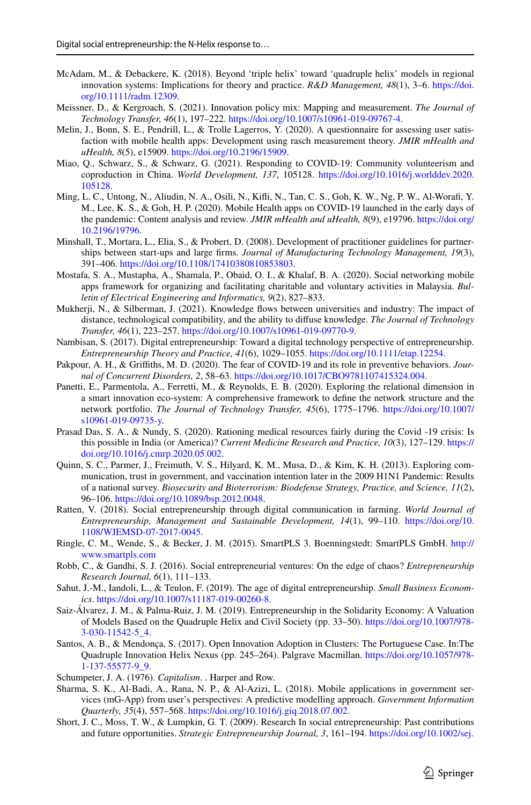- <span id="page-22-9"></span>McAdam, M., & Debackere, K. (2018). Beyond 'triple helix' toward 'quadruple helix' models in regional innovation systems: Implications for theory and practice. *R&D Management, 48*(1), 3–6. [https://doi.](https://doi.org/10.1111/radm.12309) [org/10.1111/radm.12309.](https://doi.org/10.1111/radm.12309)
- <span id="page-22-1"></span>Meissner, D., & Kergroach, S. (2021). Innovation policy mix: Mapping and measurement. *The Journal of Technology Transfer, 46*(1), 197–222. [https://doi.org/10.1007/s10961-019-09767-4.](https://doi.org/10.1007/s10961-019-09767-4)
- <span id="page-22-19"></span>Melin, J., Bonn, S. E., Pendrill, L., & Trolle Lagerros, Y. (2020). A questionnaire for assessing user satisfaction with mobile health apps: Development using rasch measurement theory. *JMIR mHealth and uHealth, 8*(5), e15909. <https://doi.org/10.2196/15909>.
- <span id="page-22-17"></span>Miao, Q., Schwarz, S., & Schwarz, G. (2021). Responding to COVID-19: Community volunteerism and coproduction in China. *World Development, 137*, 105128. [https://doi.org/10.1016/j.worlddev.2020.](https://doi.org/10.1016/j.worlddev.2020.105128) [105128](https://doi.org/10.1016/j.worlddev.2020.105128).
- <span id="page-22-2"></span>Ming, L. C., Untong, N., Aliudin, N. A., Osili, N., Kifi, N., Tan, C. S., Goh, K. W., Ng, P. W., Al-Woraf, Y. M., Lee, K. S., & Goh, H. P. (2020). Mobile Health apps on COVID-19 launched in the early days of the pandemic: Content analysis and review. *JMIR mHealth and uHealth, 8*(9), e19796. [https://doi.org/](https://doi.org/10.2196/19796) [10.2196/19796](https://doi.org/10.2196/19796).
- <span id="page-22-13"></span>Minshall, T., Mortara, L., Elia, S., & Probert, D. (2008). Development of practitioner guidelines for partnerships between start-ups and large frms. *Journal of Manufacturing Technology Management, 19*(3), 391–406. [https://doi.org/10.1108/17410380810853803.](https://doi.org/10.1108/17410380810853803)
- <span id="page-22-3"></span>Mostafa, S. A., Mustapha, A., Shamala, P., Obaid, O. I., & Khalaf, B. A. (2020). Social networking mobile apps framework for organizing and facilitating charitable and voluntary activities in Malaysia. *Bulletin of Electrical Engineering and Informatics, 9*(2), 827–833.
- <span id="page-22-11"></span>Mukherji, N., & Silberman, J. (2021). Knowledge flows between universities and industry: The impact of distance, technological compatibility, and the ability to difuse knowledge. *The Journal of Technology Transfer, 46*(1), 223–257. <https://doi.org/10.1007/s10961-019-09770-9>.
- <span id="page-22-6"></span>Nambisan, S. (2017). Digital entrepreneurship: Toward a digital technology perspective of entrepreneurship. *Entrepreneurship Theory and Practice, 41*(6), 1029–1055.<https://doi.org/10.1111/etap.12254>.
- <span id="page-22-7"></span>Pakpour, A. H., & Grifths, M. D. (2020). The fear of COVID-19 and its role in preventive behaviors. *Journal of Concurrent Disorders, 2*, 58–63. [https://doi.org/10.1017/CBO9781107415324.004.](https://doi.org/10.1017/CBO9781107415324.004)
- <span id="page-22-14"></span>Panetti, E., Parmentola, A., Ferretti, M., & Reynolds, E. B. (2020). Exploring the relational dimension in a smart innovation eco-system: A comprehensive framework to defne the network structure and the network portfolio. *The Journal of Technology Transfer, 45*(6), 1775–1796. [https://doi.org/10.1007/](https://doi.org/10.1007/s10961-019-09735-y) [s10961-019-09735-y.](https://doi.org/10.1007/s10961-019-09735-y)
- <span id="page-22-18"></span>Prasad Das, S. A., & Nundy, S. (2020). Rationing medical resources fairly during the Covid -19 crisis: Is this possible in India (or America)? *Current Medicine Research and Practice, 10*(3), 127–129. [https://](https://doi.org/10.1016/j.cmrp.2020.05.002) [doi.org/10.1016/j.cmrp.2020.05.002](https://doi.org/10.1016/j.cmrp.2020.05.002).
- <span id="page-22-8"></span>Quinn, S. C., Parmer, J., Freimuth, V. S., Hilyard, K. M., Musa, D., & Kim, K. H. (2013). Exploring communication, trust in government, and vaccination intention later in the 2009 H1N1 Pandemic: Results of a national survey. *Biosecurity and Bioterrorism: Biodefense Strategy, Practice, and Science, 11*(2), 96–106. [https://doi.org/10.1089/bsp.2012.0048.](https://doi.org/10.1089/bsp.2012.0048)
- <span id="page-22-16"></span>Ratten, V. (2018). Social entrepreneurship through digital communication in farming. *World Journal of Entrepreneurship, Management and Sustainable Development, 14*(1), 99–110. [https://doi.org/10.](https://doi.org/10.1108/WJEMSD-07-2017-0045) [1108/WJEMSD-07-2017-0045](https://doi.org/10.1108/WJEMSD-07-2017-0045).
- <span id="page-22-21"></span>Ringle, C. M., Wende, S., & Becker, J. M. (2015). SmartPLS 3. Boenningstedt: SmartPLS GmbH. [http://](http://www.smartpls.com) [www.smartpls.com](http://www.smartpls.com)
- <span id="page-22-4"></span>Robb, C., & Gandhi, S. J. (2016). Social entrepreneurial ventures: On the edge of chaos? *Entrepreneurship Research Journal, 6*(1), 111–133.
- <span id="page-22-10"></span>Sahut, J.-M., Iandoli, L., & Teulon, F. (2019). The age of digital entrepreneurship. *Small Business Economics*. [https://doi.org/10.1007/s11187-019-00260-8.](https://doi.org/10.1007/s11187-019-00260-8)
- <span id="page-22-12"></span>Saiz-Álvarez, J. M., & Palma-Ruiz, J. M. (2019). Entrepreneurship in the Solidarity Economy: A Valuation of Models Based on the Quadruple Helix and Civil Society (pp. 33–50). [https://doi.org/10.1007/978-](https://doi.org/10.1007/978-3-030-11542-5_4.) [3-030-11542-5\\_4.](https://doi.org/10.1007/978-3-030-11542-5_4.)
- <span id="page-22-20"></span>Santos, A. B., & Mendonça, S. (2017). Open Innovation Adoption in Clusters: The Portuguese Case. In:The Quadruple Innovation Helix Nexus (pp. 245–264). Palgrave Macmillan. [https://doi.org/10.1057/978-](https://doi.org/10.1057/978-1-137-55577-9_9.) [1-137-55577-9\\_9.](https://doi.org/10.1057/978-1-137-55577-9_9.)
- <span id="page-22-15"></span>Schumpeter, J. A. (1976). *Capitalism*. . Harper and Row.
- <span id="page-22-0"></span>Sharma, S. K., Al-Badi, A., Rana, N. P., & Al-Azizi, L. (2018). Mobile applications in government services (mG-App) from user's perspectives: A predictive modelling approach. *Government Information Quarterly, 35*(4), 557–568. [https://doi.org/10.1016/j.giq.2018.07.002.](https://doi.org/10.1016/j.giq.2018.07.002)
- <span id="page-22-5"></span>Short, J. C., Moss, T. W., & Lumpkin, G. T. (2009). Research In social entrepreneurship: Past contributions and future opportunities. *Strategic Entrepreneurship Journal, 3*, 161–194. <https://doi.org/10.1002/sej>.